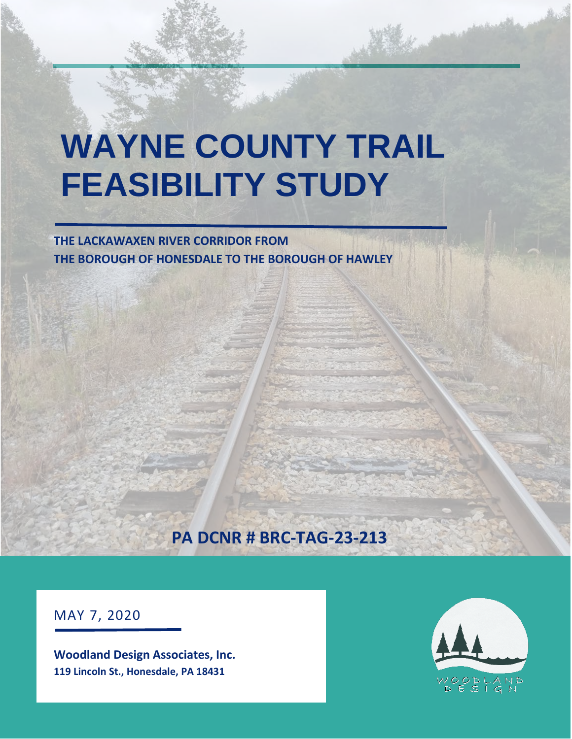# **WAYNE COUNTY TRAIL FEASIBILITY STUDY**

**THE LACKAWAXEN RIVER CORRIDOR FROM THE BOROUGH OF HONESDALE TO THE BOROUGH OF HAWLEY**

## **PA DCNR # BRC-TAG-23-213**

MAY 7, 2020

**Woodland Design Associates, Inc. 119 Lincoln St., Honesdale, PA 18431**

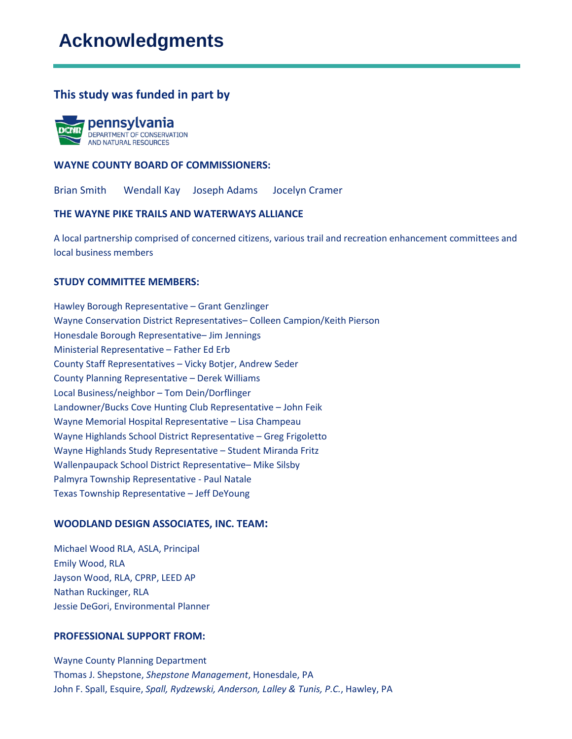## **Acknowledgments**

#### **This study was funded in part by**



#### **WAYNE COUNTY BOARD OF COMMISSIONERS:**

Brian Smith Wendall Kay Joseph Adams Jocelyn Cramer

#### **THE WAYNE PIKE TRAILS AND WATERWAYS ALLIANCE**

A local partnership comprised of concerned citizens, various trail and recreation enhancement committees and local business members

#### **STUDY COMMITTEE MEMBERS:**

Hawley Borough Representative – Grant Genzlinger Wayne Conservation District Representatives– Colleen Campion/Keith Pierson Honesdale Borough Representative– Jim Jennings Ministerial Representative – Father Ed Erb County Staff Representatives – Vicky Botjer, Andrew Seder County Planning Representative – Derek Williams Local Business/neighbor – Tom Dein/Dorflinger Landowner/Bucks Cove Hunting Club Representative – John Feik Wayne Memorial Hospital Representative – Lisa Champeau Wayne Highlands School District Representative – Greg Frigoletto Wayne Highlands Study Representative – Student Miranda Fritz Wallenpaupack School District Representative– Mike Silsby Palmyra Township Representative - Paul Natale Texas Township Representative – Jeff DeYoung

#### **WOODLAND DESIGN ASSOCIATES, INC. TEAM:**

Michael Wood RLA, ASLA, Principal Emily Wood, RLA Jayson Wood, RLA, CPRP, LEED AP Nathan Ruckinger, RLA Jessie DeGori, Environmental Planner

#### **PROFESSIONAL SUPPORT FROM:**

Wayne County Planning Department Thomas J. Shepstone, *Shepstone Management*, Honesdale, PA John F. Spall, Esquire, *Spall, Rydzewski, Anderson, Lalley & Tunis, P.C.*, Hawley, PA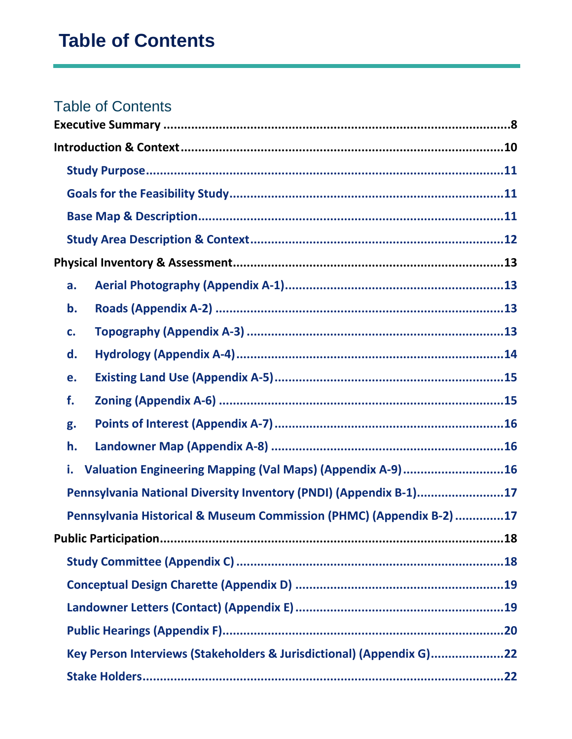| a.                                                                   |
|----------------------------------------------------------------------|
| b.                                                                   |
| C.                                                                   |
| d.                                                                   |
| e.                                                                   |
| f.                                                                   |
| g.                                                                   |
| h.                                                                   |
| Valuation Engineering Mapping (Val Maps) (Appendix A-9)16<br>i.      |
| Pennsylvania National Diversity Inventory (PNDI) (Appendix B-1)17    |
| Pennsylvania Historical & Museum Commission (PHMC) (Appendix B-2) 17 |
|                                                                      |
|                                                                      |
|                                                                      |
|                                                                      |
|                                                                      |
| Key Person Interviews (Stakeholders & Jurisdictional) (Appendix G)22 |
|                                                                      |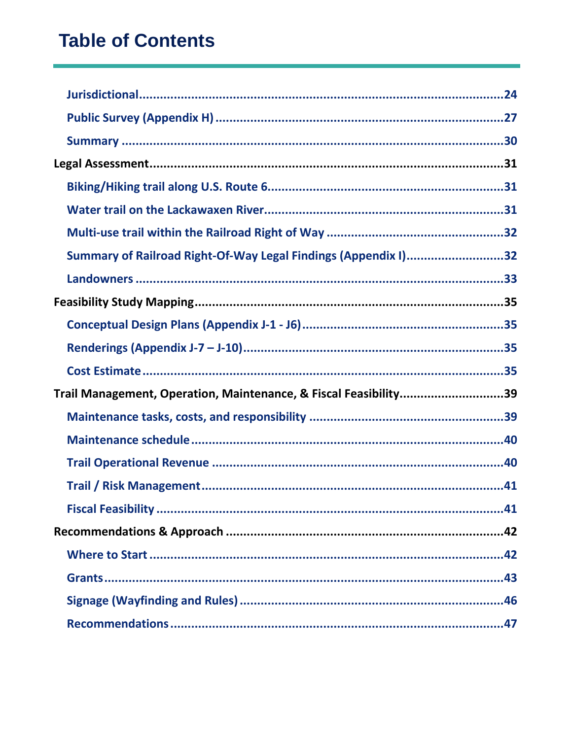| Summary of Railroad Right-Of-Way Legal Findings (Appendix I)32   |  |
|------------------------------------------------------------------|--|
|                                                                  |  |
|                                                                  |  |
|                                                                  |  |
|                                                                  |  |
|                                                                  |  |
| Trail Management, Operation, Maintenance, & Fiscal Feasibility39 |  |
|                                                                  |  |
|                                                                  |  |
|                                                                  |  |
|                                                                  |  |
|                                                                  |  |
|                                                                  |  |
|                                                                  |  |
|                                                                  |  |
|                                                                  |  |
|                                                                  |  |
|                                                                  |  |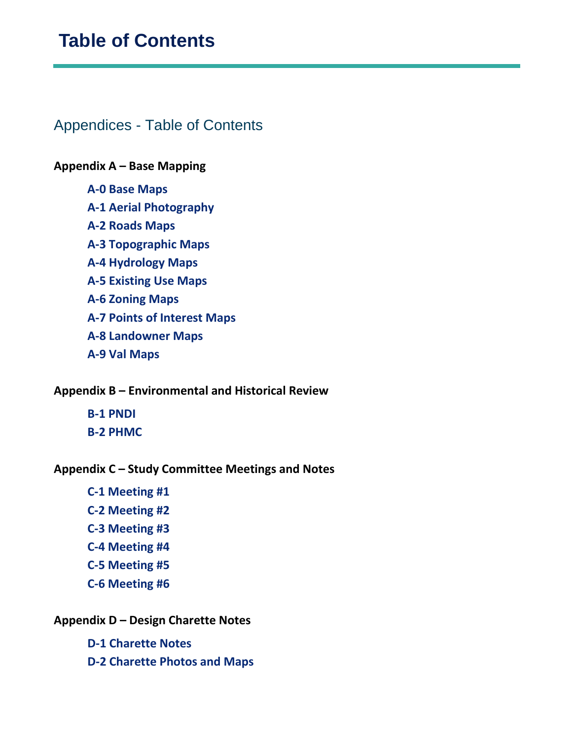### Appendices - Table of Contents

#### **Appendix A – Base Mapping**

- **A-0 Base Maps**
- **A-1 Aerial Photography**
- **A-2 Roads Maps**
- **A-3 Topographic Maps**
- **A-4 Hydrology Maps**
- **A-5 Existing Use Maps**
- **A-6 Zoning Maps**
- **A-7 Points of Interest Maps**
- **A-8 Landowner Maps**
- **A-9 Val Maps**

#### **Appendix B – Environmental and Historical Review**

**B-1 PNDI B-2 PHMC**

#### **Appendix C – Study Committee Meetings and Notes**

- **C-1 Meeting #1**
- **C-2 Meeting #2**
- **C-3 Meeting #3**
- **C-4 Meeting #4**
- **C-5 Meeting #5**
- **C-6 Meeting #6**

#### **Appendix D – Design Charette Notes**

- **D-1 Charette Notes**
- **D-2 Charette Photos and Maps**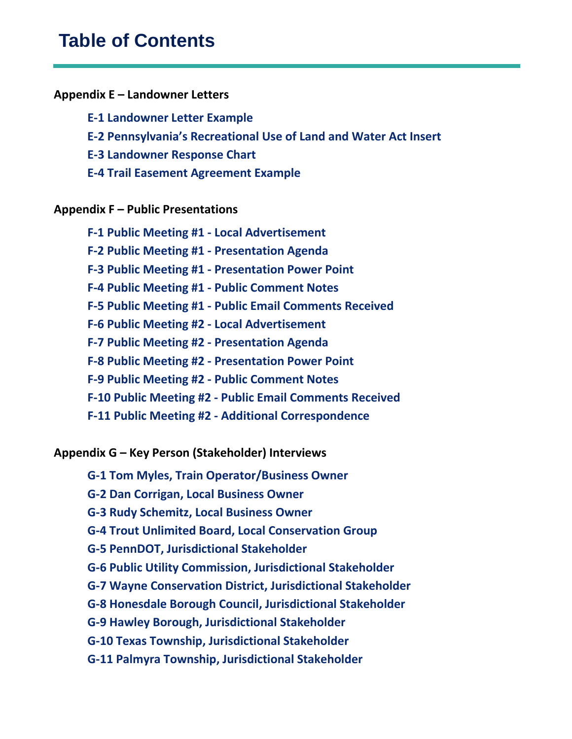#### **Appendix E – Landowner Letters**

**E-1 Landowner Letter Example**

**E-2 Pennsylvania's Recreational Use of Land and Water Act Insert**

**E-3 Landowner Response Chart**

**E-4 Trail Easement Agreement Example**

#### **Appendix F – Public Presentations**

**F-1 Public Meeting #1 - Local Advertisement F-2 Public Meeting #1 - Presentation Agenda F-3 Public Meeting #1 - Presentation Power Point F-4 Public Meeting #1 - Public Comment Notes F-5 Public Meeting #1 - Public Email Comments Received F-6 Public Meeting #2 - Local Advertisement F-7 Public Meeting #2 - Presentation Agenda F-8 Public Meeting #2 - Presentation Power Point F-9 Public Meeting #2 - Public Comment Notes F-10 Public Meeting #2 - Public Email Comments Received F-11 Public Meeting #2 - Additional Correspondence**

**Appendix G – Key Person (Stakeholder) Interviews**

- **G-1 Tom Myles, Train Operator/Business Owner**
- **G-2 Dan Corrigan, Local Business Owner**
- **G-3 Rudy Schemitz, Local Business Owner**
- **G-4 Trout Unlimited Board, Local Conservation Group**
- **G-5 PennDOT, Jurisdictional Stakeholder**
- **G-6 Public Utility Commission, Jurisdictional Stakeholder**
- **G-7 Wayne Conservation District, Jurisdictional Stakeholder**
- **G-8 Honesdale Borough Council, Jurisdictional Stakeholder**
- **G-9 Hawley Borough, Jurisdictional Stakeholder**
- **G-10 Texas Township, Jurisdictional Stakeholder**
- **G-11 Palmyra Township, Jurisdictional Stakeholder**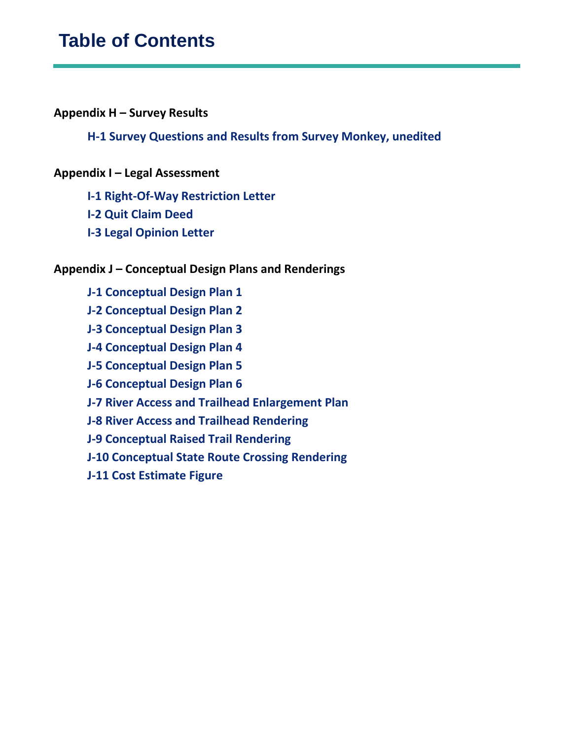#### **Appendix H – Survey Results**

#### **H-1 Survey Questions and Results from Survey Monkey, unedited**

#### **Appendix I – Legal Assessment**

- **I-1 Right-Of-Way Restriction Letter**
- **I-2 Quit Claim Deed**
- **I-3 Legal Opinion Letter**

#### **Appendix J – Conceptual Design Plans and Renderings**

- **J-1 Conceptual Design Plan 1**
- **J-2 Conceptual Design Plan 2**
- **J-3 Conceptual Design Plan 3**
- **J-4 Conceptual Design Plan 4**
- **J-5 Conceptual Design Plan 5**
- **J-6 Conceptual Design Plan 6**
- **J-7 River Access and Trailhead Enlargement Plan**
- **J-8 River Access and Trailhead Rendering**
- **J-9 Conceptual Raised Trail Rendering**
- **J-10 Conceptual State Route Crossing Rendering**
- **J-11 Cost Estimate Figure**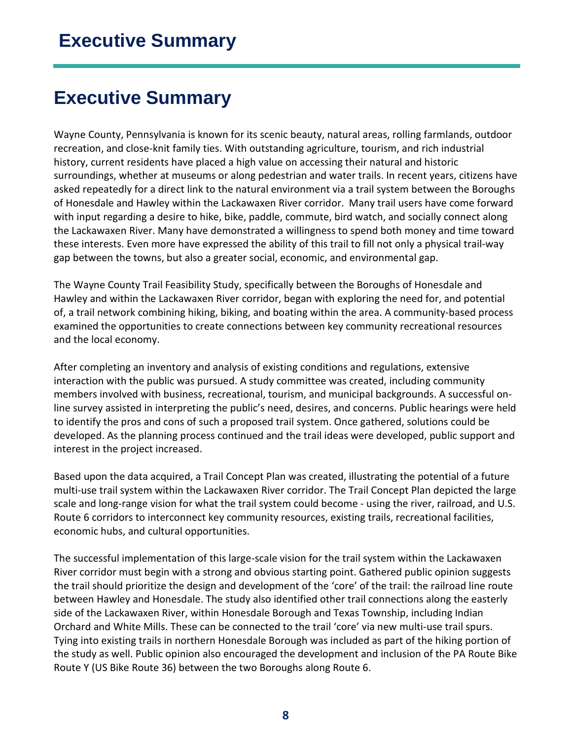## <span id="page-7-0"></span>**Executive Summary**

Wayne County, Pennsylvania is known for its scenic beauty, natural areas, rolling farmlands, outdoor recreation, and close-knit family ties. With outstanding agriculture, tourism, and rich industrial history, current residents have placed a high value on accessing their natural and historic surroundings, whether at museums or along pedestrian and water trails. In recent years, citizens have asked repeatedly for a direct link to the natural environment via a trail system between the Boroughs of Honesdale and Hawley within the Lackawaxen River corridor. Many trail users have come forward with input regarding a desire to hike, bike, paddle, commute, bird watch, and socially connect along the Lackawaxen River. Many have demonstrated a willingness to spend both money and time toward these interests. Even more have expressed the ability of this trail to fill not only a physical trail-way gap between the towns, but also a greater social, economic, and environmental gap.

The Wayne County Trail Feasibility Study, specifically between the Boroughs of Honesdale and Hawley and within the Lackawaxen River corridor, began with exploring the need for, and potential of, a trail network combining hiking, biking, and boating within the area. A community-based process examined the opportunities to create connections between key community recreational resources and the local economy.

After completing an inventory and analysis of existing conditions and regulations, extensive interaction with the public was pursued. A study committee was created, including community members involved with business, recreational, tourism, and municipal backgrounds. A successful online survey assisted in interpreting the public's need, desires, and concerns. Public hearings were held to identify the pros and cons of such a proposed trail system. Once gathered, solutions could be developed. As the planning process continued and the trail ideas were developed, public support and interest in the project increased.

Based upon the data acquired, a Trail Concept Plan was created, illustrating the potential of a future multi-use trail system within the Lackawaxen River corridor. The Trail Concept Plan depicted the large scale and long-range vision for what the trail system could become - using the river, railroad, and U.S. Route 6 corridors to interconnect key community resources, existing trails, recreational facilities, economic hubs, and cultural opportunities.

The successful implementation of this large-scale vision for the trail system within the Lackawaxen River corridor must begin with a strong and obvious starting point. Gathered public opinion suggests the trail should prioritize the design and development of the 'core' of the trail: the railroad line route between Hawley and Honesdale. The study also identified other trail connections along the easterly side of the Lackawaxen River, within Honesdale Borough and Texas Township, including Indian Orchard and White Mills. These can be connected to the trail 'core' via new multi-use trail spurs. Tying into existing trails in northern Honesdale Borough was included as part of the hiking portion of the study as well. Public opinion also encouraged the development and inclusion of the PA Route Bike Route Y (US Bike Route 36) between the two Boroughs along Route 6.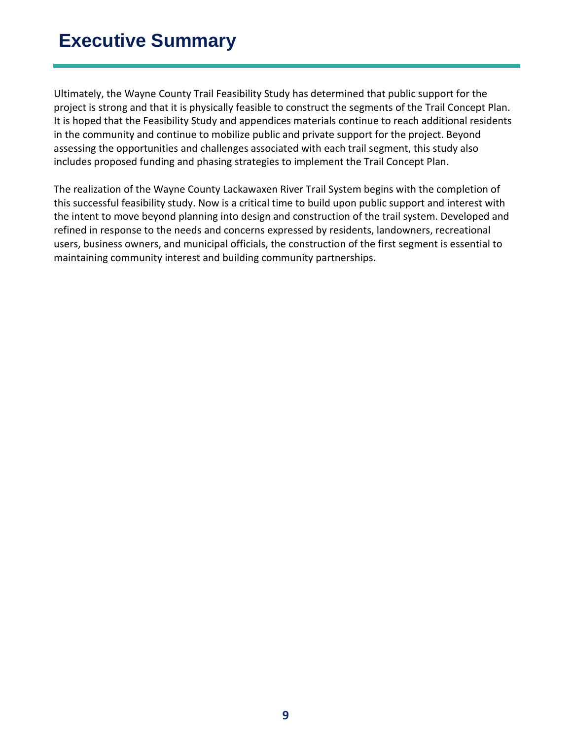## **Executive Summary**

Ultimately, the Wayne County Trail Feasibility Study has determined that public support for the project is strong and that it is physically feasible to construct the segments of the Trail Concept Plan. It is hoped that the Feasibility Study and appendices materials continue to reach additional residents in the community and continue to mobilize public and private support for the project. Beyond assessing the opportunities and challenges associated with each trail segment, this study also includes proposed funding and phasing strategies to implement the Trail Concept Plan.

The realization of the Wayne County Lackawaxen River Trail System begins with the completion of this successful feasibility study. Now is a critical time to build upon public support and interest with the intent to move beyond planning into design and construction of the trail system. Developed and refined in response to the needs and concerns expressed by residents, landowners, recreational users, business owners, and municipal officials, the construction of the first segment is essential to maintaining community interest and building community partnerships.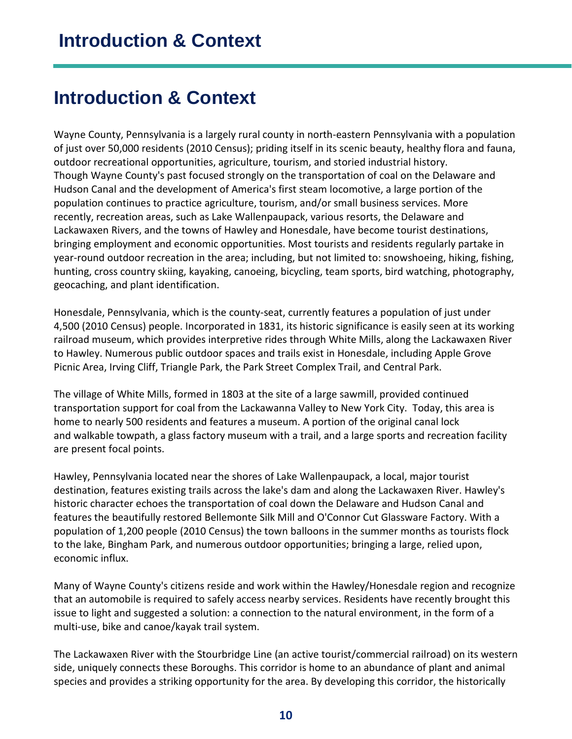## <span id="page-9-0"></span>**Introduction & Context**

Wayne County, Pennsylvania is a largely rural county in north-eastern Pennsylvania with a population of just over 50,000 residents (2010 Census); priding itself in its scenic beauty, healthy flora and fauna, outdoor recreational opportunities, agriculture, tourism, and storied industrial history. Though Wayne County's past focused strongly on the transportation of coal on the Delaware and Hudson Canal and the development of America's first steam locomotive, a large portion of the population continues to practice agriculture, tourism, and/or small business services. More recently, recreation areas, such as Lake Wallenpaupack, various resorts, the Delaware and Lackawaxen Rivers, and the towns of Hawley and Honesdale, have become tourist destinations, bringing employment and economic opportunities. Most tourists and residents regularly partake in year-round outdoor recreation in the area; including, but not limited to: snowshoeing, hiking, fishing, hunting, cross country skiing, kayaking, canoeing, bicycling, team sports, bird watching, photography, geocaching, and plant identification.

Honesdale, Pennsylvania, which is the county-seat, currently features a population of just under 4,500 (2010 Census) people. Incorporated in 1831, its historic significance is easily seen at its working railroad museum, which provides interpretive rides through White Mills, along the Lackawaxen River to Hawley. Numerous public outdoor spaces and trails exist in Honesdale, including Apple Grove Picnic Area, Irving Cliff, Triangle Park, the Park Street Complex Trail, and Central Park.

The village of White Mills, formed in 1803 at the site of a large sawmill, provided continued transportation support for coal from the Lackawanna Valley to New York City. Today, this area is home to nearly 500 residents and features a museum. A portion of the original canal lock and walkable towpath, a glass factory museum with a trail, and a large sports and recreation facility are present focal points.

Hawley, Pennsylvania located near the shores of Lake Wallenpaupack, a local, major tourist destination, features existing trails across the lake's dam and along the Lackawaxen River. Hawley's historic character echoes the transportation of coal down the Delaware and Hudson Canal and features the beautifully restored Bellemonte Silk Mill and O'Connor Cut Glassware Factory. With a population of 1,200 people (2010 Census) the town balloons in the summer months as tourists flock to the lake, Bingham Park, and numerous outdoor opportunities; bringing a large, relied upon, economic influx.

Many of Wayne County's citizens reside and work within the Hawley/Honesdale region and recognize that an automobile is required to safely access nearby services. Residents have recently brought this issue to light and suggested a solution: a connection to the natural environment, in the form of a multi-use, bike and canoe/kayak trail system.

The Lackawaxen River with the Stourbridge Line (an active tourist/commercial railroad) on its western side, uniquely connects these Boroughs. This corridor is home to an abundance of plant and animal species and provides a striking opportunity for the area. By developing this corridor, the historically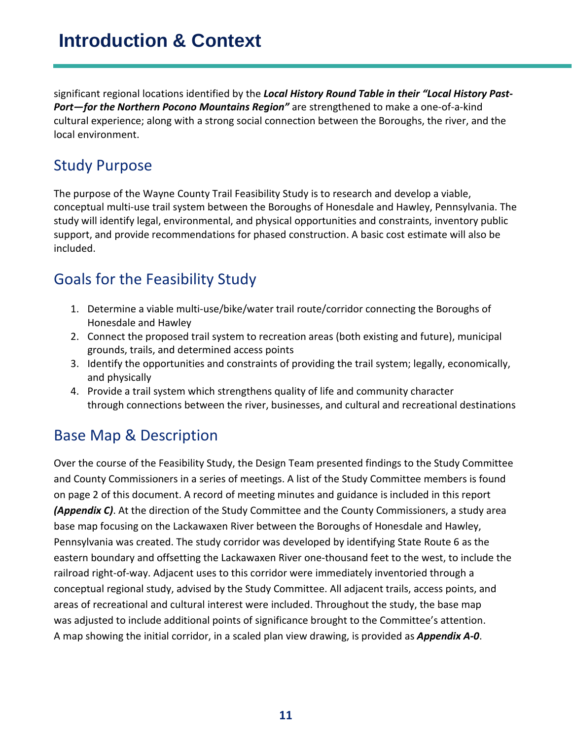## **Introduction & Context**

significant regional locations identified by the *Local History Round Table in their "Local History Past-Port—for the Northern Pocono Mountains Region"* are strengthened to make a one-of-a-kind cultural experience; along with a strong social connection between the Boroughs, the river, and the local environment.

### <span id="page-10-0"></span>Study Purpose

The purpose of the Wayne County Trail Feasibility Study is to research and develop a viable, conceptual multi-use trail system between the Boroughs of Honesdale and Hawley, Pennsylvania. The study will identify legal, environmental, and physical opportunities and constraints, inventory public support, and provide recommendations for phased construction. A basic cost estimate will also be included.

### <span id="page-10-1"></span>Goals for the Feasibility Study

- 1. Determine a viable multi-use/bike/water trail route/corridor connecting the Boroughs of Honesdale and Hawley
- 2. Connect the proposed trail system to recreation areas (both existing and future), municipal grounds, trails, and determined access points
- 3. Identify the opportunities and constraints of providing the trail system; legally, economically, and physically
- 4. Provide a trail system which strengthens quality of life and community character through connections between the river, businesses, and cultural and recreational destinations

## <span id="page-10-2"></span>Base Map & Description

Over the course of the Feasibility Study, the Design Team presented findings to the Study Committee and County Commissioners in a series of meetings. A list of the Study Committee members is found on page 2 of this document. A record of meeting minutes and guidance is included in this report *(Appendix C)*. At the direction of the Study Committee and the County Commissioners, a study area base map focusing on the Lackawaxen River between the Boroughs of Honesdale and Hawley, Pennsylvania was created. The study corridor was developed by identifying State Route 6 as the eastern boundary and offsetting the Lackawaxen River one-thousand feet to the west, to include the railroad right-of-way. Adjacent uses to this corridor were immediately inventoried through a conceptual regional study, advised by the Study Committee. All adjacent trails, access points, and areas of recreational and cultural interest were included. Throughout the study, the base map was adjusted to include additional points of significance brought to the Committee's attention. A map showing the initial corridor, in a scaled plan view drawing, is provided as *Appendix A-0*.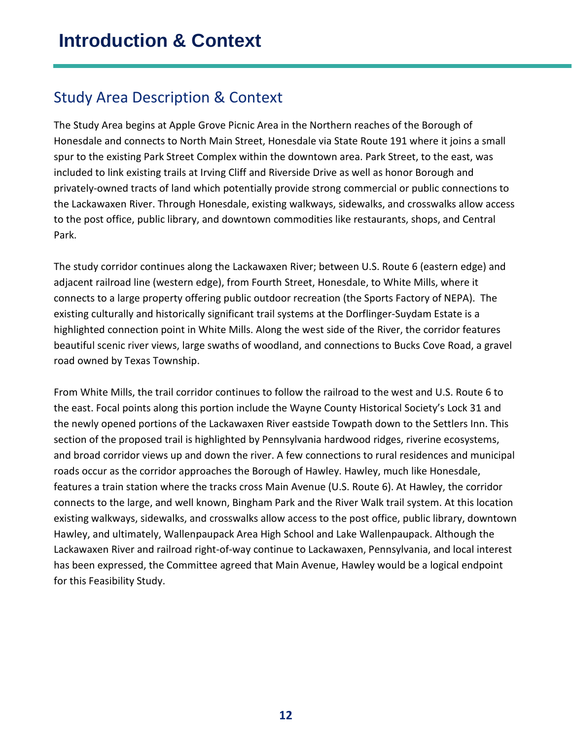### <span id="page-11-0"></span>Study Area Description & Context

The Study Area begins at Apple Grove Picnic Area in the Northern reaches of the Borough of Honesdale and connects to North Main Street, Honesdale via State Route 191 where it joins a small spur to the existing Park Street Complex within the downtown area. Park Street, to the east, was included to link existing trails at Irving Cliff and Riverside Drive as well as honor Borough and privately-owned tracts of land which potentially provide strong commercial or public connections to the Lackawaxen River. Through Honesdale, existing walkways, sidewalks, and crosswalks allow access to the post office, public library, and downtown commodities like restaurants, shops, and Central Park.

The study corridor continues along the Lackawaxen River; between U.S. Route 6 (eastern edge) and adjacent railroad line (western edge), from Fourth Street, Honesdale, to White Mills, where it connects to a large property offering public outdoor recreation (the Sports Factory of NEPA). The existing culturally and historically significant trail systems at the Dorflinger-Suydam Estate is a highlighted connection point in White Mills. Along the west side of the River, the corridor features beautiful scenic river views, large swaths of woodland, and connections to Bucks Cove Road, a gravel road owned by Texas Township.

From White Mills, the trail corridor continues to follow the railroad to the west and U.S. Route 6 to the east. Focal points along this portion include the Wayne County Historical Society's Lock 31 and the newly opened portions of the Lackawaxen River eastside Towpath down to the Settlers Inn. This section of the proposed trail is highlighted by Pennsylvania hardwood ridges, riverine ecosystems, and broad corridor views up and down the river. A few connections to rural residences and municipal roads occur as the corridor approaches the Borough of Hawley. Hawley, much like Honesdale, features a train station where the tracks cross Main Avenue (U.S. Route 6). At Hawley, the corridor connects to the large, and well known, Bingham Park and the River Walk trail system. At this location existing walkways, sidewalks, and crosswalks allow access to the post office, public library, downtown Hawley, and ultimately, Wallenpaupack Area High School and Lake Wallenpaupack. Although the Lackawaxen River and railroad right-of-way continue to Lackawaxen, Pennsylvania, and local interest has been expressed, the Committee agreed that Main Avenue, Hawley would be a logical endpoint for this Feasibility Study.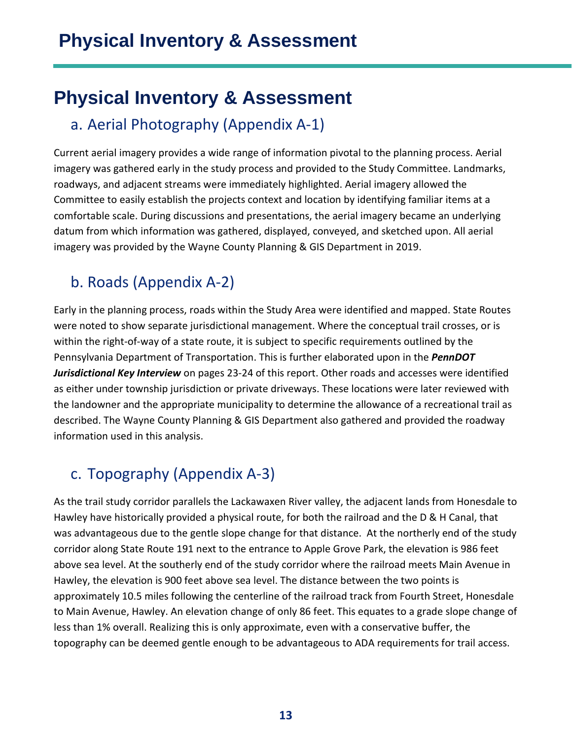## <span id="page-12-0"></span>**Physical Inventory & Assessment**

### <span id="page-12-1"></span>a. Aerial Photography (Appendix A-1)

Current aerial imagery provides a wide range of information pivotal to the planning process. Aerial imagery was gathered early in the study process and provided to the Study Committee. Landmarks, roadways, and adjacent streams were immediately highlighted. Aerial imagery allowed the Committee to easily establish the projects context and location by identifying familiar items at a comfortable scale. During discussions and presentations, the aerial imagery became an underlying datum from which information was gathered, displayed, conveyed, and sketched upon. All aerial imagery was provided by the Wayne County Planning & GIS Department in 2019.

## <span id="page-12-2"></span>b. Roads (Appendix A-2)

Early in the planning process, roads within the Study Area were identified and mapped. State Routes were noted to show separate jurisdictional management. Where the conceptual trail crosses, or is within the right-of-way of a state route, it is subject to specific requirements outlined by the Pennsylvania Department of Transportation. This is further elaborated upon in the *PennDOT Jurisdictional Key Interview* on pages 23-24 of this report. Other roads and accesses were identified as either under township jurisdiction or private driveways. These locations were later reviewed with the landowner and the appropriate municipality to determine the allowance of a recreational trail as described. The Wayne County Planning & GIS Department also gathered and provided the roadway information used in this analysis.

## <span id="page-12-3"></span>c. Topography (Appendix A-3)

As the trail study corridor parallels the Lackawaxen River valley, the adjacent lands from Honesdale to Hawley have historically provided a physical route, for both the railroad and the D & H Canal, that was advantageous due to the gentle slope change for that distance. At the northerly end of the study corridor along State Route 191 next to the entrance to Apple Grove Park, the elevation is 986 feet above sea level. At the southerly end of the study corridor where the railroad meets Main Avenue in Hawley, the elevation is 900 feet above sea level. The distance between the two points is approximately 10.5 miles following the centerline of the railroad track from Fourth Street, Honesdale to Main Avenue, Hawley. An elevation change of only 86 feet. This equates to a grade slope change of less than 1% overall. Realizing this is only approximate, even with a conservative buffer, the topography can be deemed gentle enough to be advantageous to ADA requirements for trail access.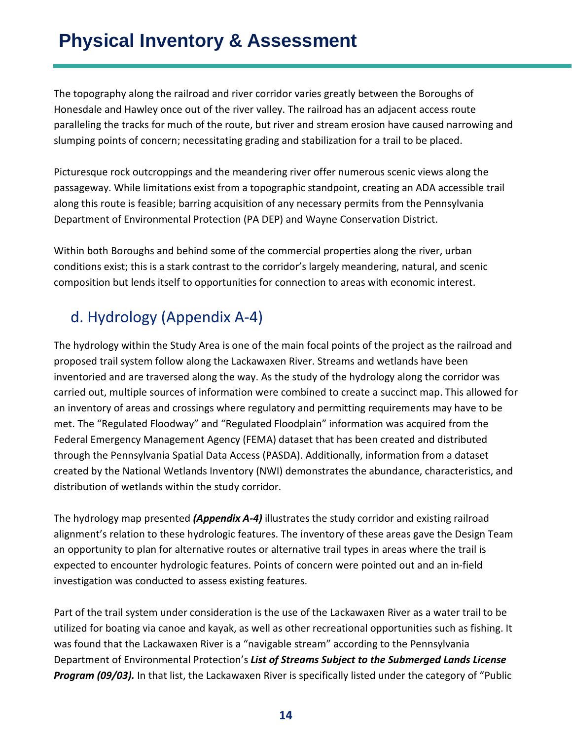The topography along the railroad and river corridor varies greatly between the Boroughs of Honesdale and Hawley once out of the river valley. The railroad has an adjacent access route paralleling the tracks for much of the route, but river and stream erosion have caused narrowing and slumping points of concern; necessitating grading and stabilization for a trail to be placed.

Picturesque rock outcroppings and the meandering river offer numerous scenic views along the passageway. While limitations exist from a topographic standpoint, creating an ADA accessible trail along this route is feasible; barring acquisition of any necessary permits from the Pennsylvania Department of Environmental Protection (PA DEP) and Wayne Conservation District.

Within both Boroughs and behind some of the commercial properties along the river, urban conditions exist; this is a stark contrast to the corridor's largely meandering, natural, and scenic composition but lends itself to opportunities for connection to areas with economic interest.

## <span id="page-13-0"></span>d. Hydrology (Appendix A-4)

The hydrology within the Study Area is one of the main focal points of the project as the railroad and proposed trail system follow along the Lackawaxen River. Streams and wetlands have been inventoried and are traversed along the way. As the study of the hydrology along the corridor was carried out, multiple sources of information were combined to create a succinct map. This allowed for an inventory of areas and crossings where regulatory and permitting requirements may have to be met. The "Regulated Floodway" and "Regulated Floodplain" information was acquired from the Federal Emergency Management Agency (FEMA) dataset that has been created and distributed through the Pennsylvania Spatial Data Access (PASDA). Additionally, information from a dataset created by the National Wetlands Inventory (NWI) demonstrates the abundance, characteristics, and distribution of wetlands within the study corridor.

The hydrology map presented *(Appendix A-4)* illustrates the study corridor and existing railroad alignment's relation to these hydrologic features. The inventory of these areas gave the Design Team an opportunity to plan for alternative routes or alternative trail types in areas where the trail is expected to encounter hydrologic features. Points of concern were pointed out and an in-field investigation was conducted to assess existing features.

Part of the trail system under consideration is the use of the Lackawaxen River as a water trail to be utilized for boating via canoe and kayak, as well as other recreational opportunities such as fishing. It was found that the Lackawaxen River is a "navigable stream" according to the Pennsylvania Department of Environmental Protection's *List of Streams Subject to the Submerged Lands License Program (09/03).* In that list, the Lackawaxen River is specifically listed under the category of "Public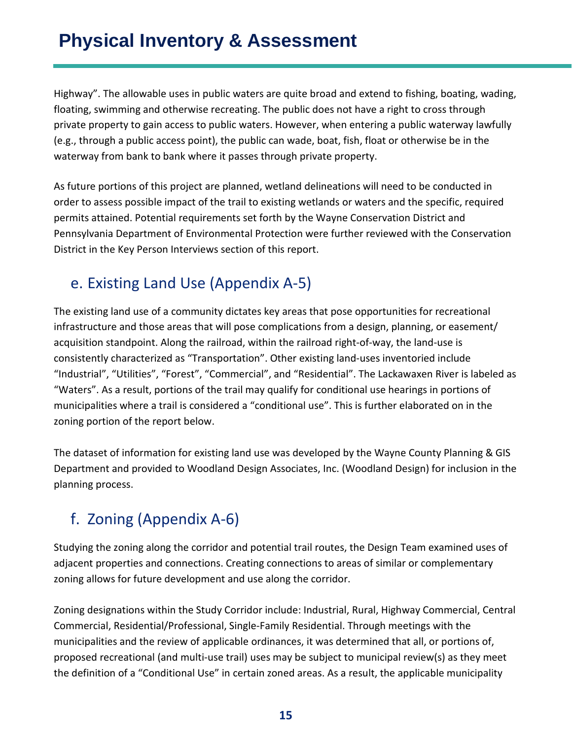Highway". The allowable uses in public waters are quite broad and extend to fishing, boating, wading, floating, swimming and otherwise recreating. The public does not have a right to cross through private property to gain access to public waters. However, when entering a public waterway lawfully (e.g., through a public access point), the public can wade, boat, fish, float or otherwise be in the waterway from bank to bank where it passes through private property.

As future portions of this project are planned, wetland delineations will need to be conducted in order to assess possible impact of the trail to existing wetlands or waters and the specific, required permits attained. Potential requirements set forth by the Wayne Conservation District and Pennsylvania Department of Environmental Protection were further reviewed with the Conservation District in the Key Person Interviews section of this report.

## <span id="page-14-0"></span>e. Existing Land Use (Appendix A-5)

The existing land use of a community dictates key areas that pose opportunities for recreational infrastructure and those areas that will pose complications from a design, planning, or easement/ acquisition standpoint. Along the railroad, within the railroad right-of-way, the land-use is consistently characterized as "Transportation". Other existing land-uses inventoried include "Industrial", "Utilities", "Forest", "Commercial", and "Residential". The Lackawaxen River is labeled as "Waters". As a result, portions of the trail may qualify for conditional use hearings in portions of municipalities where a trail is considered a "conditional use". This is further elaborated on in the zoning portion of the report below.

The dataset of information for existing land use was developed by the Wayne County Planning & GIS Department and provided to Woodland Design Associates, Inc. (Woodland Design) for inclusion in the planning process.

## <span id="page-14-1"></span>f. Zoning (Appendix A-6)

Studying the zoning along the corridor and potential trail routes, the Design Team examined uses of adjacent properties and connections. Creating connections to areas of similar or complementary zoning allows for future development and use along the corridor.

Zoning designations within the Study Corridor include: Industrial, Rural, Highway Commercial, Central Commercial, Residential/Professional, Single-Family Residential. Through meetings with the municipalities and the review of applicable ordinances, it was determined that all, or portions of, proposed recreational (and multi-use trail) uses may be subject to municipal review(s) as they meet the definition of a "Conditional Use" in certain zoned areas. As a result, the applicable municipality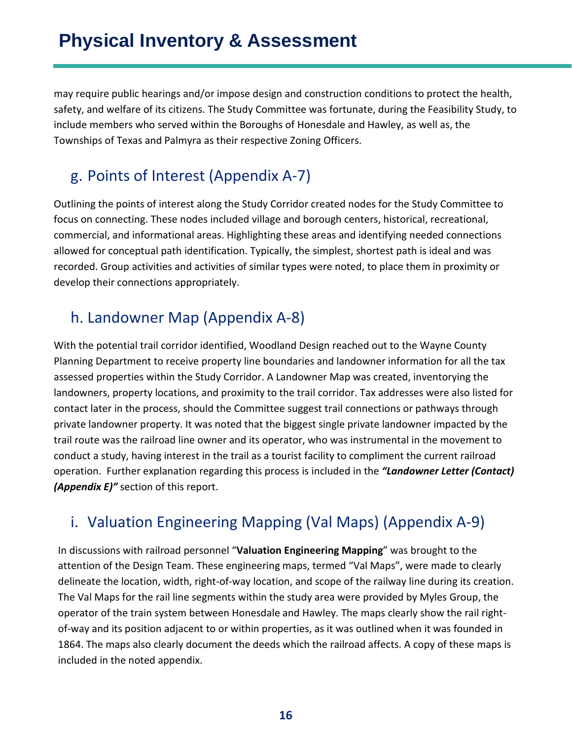may require public hearings and/or impose design and construction conditions to protect the health, safety, and welfare of its citizens. The Study Committee was fortunate, during the Feasibility Study, to include members who served within the Boroughs of Honesdale and Hawley, as well as, the Townships of Texas and Palmyra as their respective Zoning Officers.

## <span id="page-15-0"></span>g. Points of Interest (Appendix A-7)

Outlining the points of interest along the Study Corridor created nodes for the Study Committee to focus on connecting. These nodes included village and borough centers, historical, recreational, commercial, and informational areas. Highlighting these areas and identifying needed connections allowed for conceptual path identification. Typically, the simplest, shortest path is ideal and was recorded. Group activities and activities of similar types were noted, to place them in proximity or develop their connections appropriately.

## <span id="page-15-1"></span>h. Landowner Map (Appendix A-8)

With the potential trail corridor identified, Woodland Design reached out to the Wayne County Planning Department to receive property line boundaries and landowner information for all the tax assessed properties within the Study Corridor. A Landowner Map was created, inventorying the landowners, property locations, and proximity to the trail corridor. Tax addresses were also listed for contact later in the process, should the Committee suggest trail connections or pathways through private landowner property. It was noted that the biggest single private landowner impacted by the trail route was the railroad line owner and its operator, who was instrumental in the movement to conduct a study, having interest in the trail as a tourist facility to compliment the current railroad operation. Further explanation regarding this process is included in the *"Landowner Letter (Contact) (Appendix E)"* section of this report.

## <span id="page-15-2"></span>i. Valuation Engineering Mapping (Val Maps) (Appendix A-9)

In discussions with railroad personnel "**Valuation Engineering Mapping**" was brought to the attention of the Design Team. These engineering maps, termed "Val Maps", were made to clearly delineate the location, width, right-of-way location, and scope of the railway line during its creation. The Val Maps for the rail line segments within the study area were provided by Myles Group, the operator of the train system between Honesdale and Hawley. The maps clearly show the rail rightof-way and its position adjacent to or within properties, as it was outlined when it was founded in 1864. The maps also clearly document the deeds which the railroad affects. A copy of these maps is included in the noted appendix.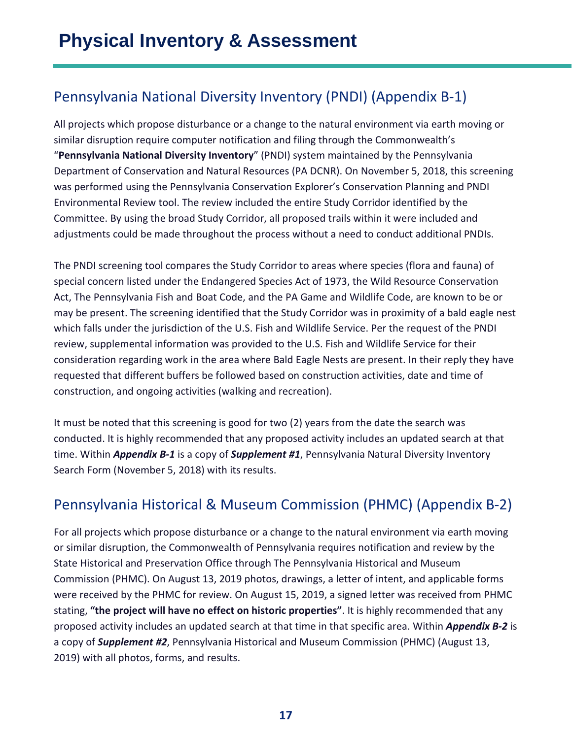## <span id="page-16-0"></span>Pennsylvania National Diversity Inventory (PNDI) (Appendix B-1)

All projects which propose disturbance or a change to the natural environment via earth moving or similar disruption require computer notification and filing through the Commonwealth's "**Pennsylvania National Diversity Inventory**" (PNDI) system maintained by the Pennsylvania Department of Conservation and Natural Resources (PA DCNR). On November 5, 2018, this screening was performed using the Pennsylvania Conservation Explorer's Conservation Planning and PNDI Environmental Review tool. The review included the entire Study Corridor identified by the Committee. By using the broad Study Corridor, all proposed trails within it were included and adjustments could be made throughout the process without a need to conduct additional PNDIs.

The PNDI screening tool compares the Study Corridor to areas where species (flora and fauna) of special concern listed under the Endangered Species Act of 1973, the Wild Resource Conservation Act, The Pennsylvania Fish and Boat Code, and the PA Game and Wildlife Code, are known to be or may be present. The screening identified that the Study Corridor was in proximity of a bald eagle nest which falls under the jurisdiction of the U.S. Fish and Wildlife Service. Per the request of the PNDI review, supplemental information was provided to the U.S. Fish and Wildlife Service for their consideration regarding work in the area where Bald Eagle Nests are present. In their reply they have requested that different buffers be followed based on construction activities, date and time of construction, and ongoing activities (walking and recreation).

It must be noted that this screening is good for two (2) years from the date the search was conducted. It is highly recommended that any proposed activity includes an updated search at that time. Within *Appendix B-1* is a copy of *Supplement #1*, Pennsylvania Natural Diversity Inventory Search Form (November 5, 2018) with its results.

### <span id="page-16-1"></span>Pennsylvania Historical & Museum Commission (PHMC) (Appendix B-2)

For all projects which propose disturbance or a change to the natural environment via earth moving or similar disruption, the Commonwealth of Pennsylvania requires notification and review by the State Historical and Preservation Office through The Pennsylvania Historical and Museum Commission (PHMC). On August 13, 2019 photos, drawings, a letter of intent, and applicable forms were received by the PHMC for review. On August 15, 2019, a signed letter was received from PHMC stating, **"the project will have no effect on historic properties"**. It is highly recommended that any proposed activity includes an updated search at that time in that specific area. Within *Appendix B-2* is a copy of *Supplement #2*, Pennsylvania Historical and Museum Commission (PHMC) (August 13, 2019) with all photos, forms, and results.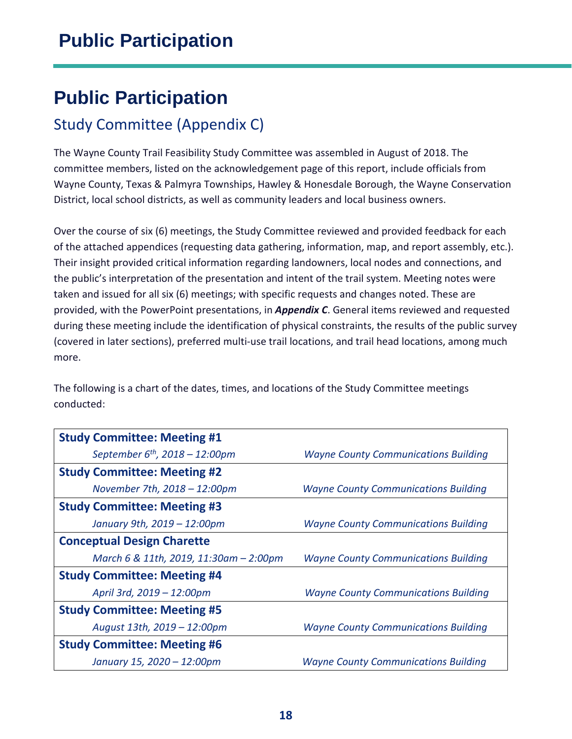## <span id="page-17-1"></span><span id="page-17-0"></span>Study Committee (Appendix C)

The Wayne County Trail Feasibility Study Committee was assembled in August of 2018. The committee members, listed on the acknowledgement page of this report, include officials from Wayne County, Texas & Palmyra Townships, Hawley & Honesdale Borough, the Wayne Conservation District, local school districts, as well as community leaders and local business owners.

Over the course of six (6) meetings, the Study Committee reviewed and provided feedback for each of the attached appendices (requesting data gathering, information, map, and report assembly, etc.). Their insight provided critical information regarding landowners, local nodes and connections, and the public's interpretation of the presentation and intent of the trail system. Meeting notes were taken and issued for all six (6) meetings; with specific requests and changes noted. These are provided, with the PowerPoint presentations, in *Appendix C*. General items reviewed and requested during these meeting include the identification of physical constraints, the results of the public survey (covered in later sections), preferred multi-use trail locations, and trail head locations, among much more.

The following is a chart of the dates, times, and locations of the Study Committee meetings conducted:

| <b>Study Committee: Meeting #1</b>     |                                             |  |  |
|----------------------------------------|---------------------------------------------|--|--|
| September $6^{th}$ , 2018 - 12:00pm    | <b>Wayne County Communications Building</b> |  |  |
| <b>Study Committee: Meeting #2</b>     |                                             |  |  |
| November 7th, 2018 - 12:00pm           | <b>Wayne County Communications Building</b> |  |  |
| <b>Study Committee: Meeting #3</b>     |                                             |  |  |
| January 9th, 2019 - 12:00pm            | <b>Wayne County Communications Building</b> |  |  |
| <b>Conceptual Design Charette</b>      |                                             |  |  |
| March 6 & 11th, 2019, 11:30am - 2:00pm | <b>Wayne County Communications Building</b> |  |  |
| <b>Study Committee: Meeting #4</b>     |                                             |  |  |
| April 3rd, 2019 - 12:00pm              | <b>Wayne County Communications Building</b> |  |  |
| <b>Study Committee: Meeting #5</b>     |                                             |  |  |
| August 13th, 2019 - 12:00pm            | <b>Wayne County Communications Building</b> |  |  |
| <b>Study Committee: Meeting #6</b>     |                                             |  |  |
| January 15, 2020 - 12:00pm             | <b>Wayne County Communications Building</b> |  |  |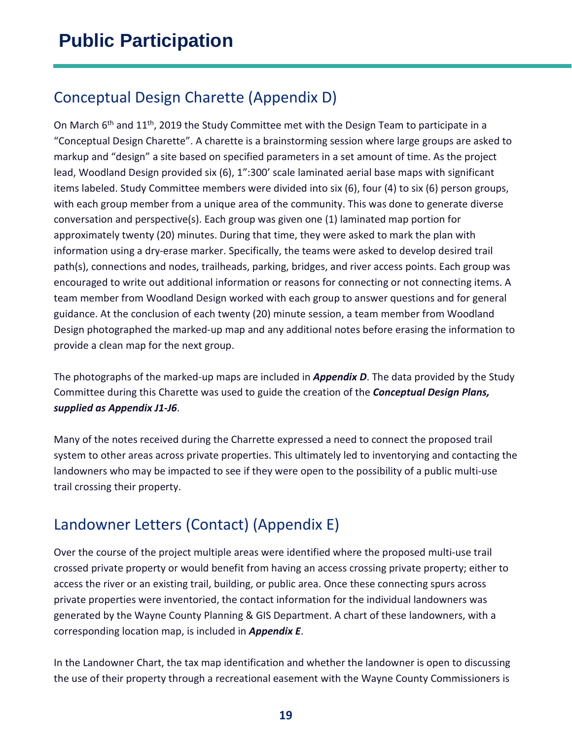### <span id="page-18-0"></span>Conceptual Design Charette (Appendix D)

On March 6<sup>th</sup> and 11<sup>th</sup>, 2019 the Study Committee met with the Design Team to participate in a "Conceptual Design Charette". A charette is a brainstorming session where large groups are asked to markup and "design" a site based on specified parameters in a set amount of time. As the project lead, Woodland Design provided six (6), 1":300' scale laminated aerial base maps with significant items labeled. Study Committee members were divided into six (6), four (4) to six (6) person groups, with each group member from a unique area of the community. This was done to generate diverse conversation and perspective(s). Each group was given one (1) laminated map portion for approximately twenty (20) minutes. During that time, they were asked to mark the plan with information using a dry-erase marker. Specifically, the teams were asked to develop desired trail path(s), connections and nodes, trailheads, parking, bridges, and river access points. Each group was encouraged to write out additional information or reasons for connecting or not connecting items. A team member from Woodland Design worked with each group to answer questions and for general guidance. At the conclusion of each twenty (20) minute session, a team member from Woodland Design photographed the marked-up map and any additional notes before erasing the information to provide a clean map for the next group.

The photographs of the marked-up maps are included in *Appendix D*. The data provided by the Study Committee during this Charette was used to guide the creation of the *Conceptual Design Plans, supplied as Appendix J1-J6*.

Many of the notes received during the Charrette expressed a need to connect the proposed trail system to other areas across private properties. This ultimately led to inventorying and contacting the landowners who may be impacted to see if they were open to the possibility of a public multi-use trail crossing their property.

## <span id="page-18-1"></span>Landowner Letters (Contact) (Appendix E)

Over the course of the project multiple areas were identified where the proposed multi-use trail crossed private property or would benefit from having an access crossing private property; either to access the river or an existing trail, building, or public area. Once these connecting spurs across private properties were inventoried, the contact information for the individual landowners was generated by the Wayne County Planning & GIS Department. A chart of these landowners, with a corresponding location map, is included in *Appendix E*.

In the Landowner Chart, the tax map identification and whether the landowner is open to discussing the use of their property through a recreational easement with the Wayne County Commissioners is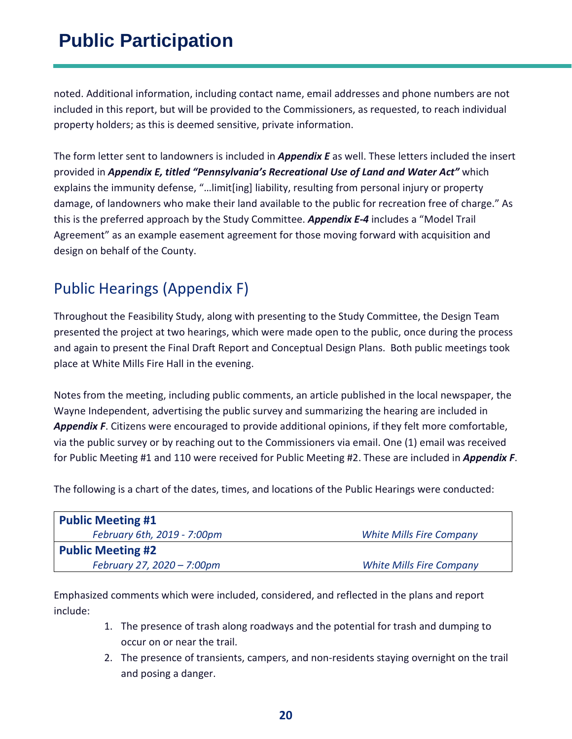noted. Additional information, including contact name, email addresses and phone numbers are not included in this report, but will be provided to the Commissioners, as requested, to reach individual property holders; as this is deemed sensitive, private information.

The form letter sent to landowners is included in *Appendix E* as well. These letters included the insert provided in *Appendix E, titled "Pennsylvania's Recreational Use of Land and Water Act"* which explains the immunity defense, "…limit[ing] liability, resulting from personal injury or property damage, of landowners who make their land available to the public for recreation free of charge." As this is the preferred approach by the Study Committee. *Appendix E-4* includes a "Model Trail Agreement" as an example easement agreement for those moving forward with acquisition and design on behalf of the County.

## <span id="page-19-0"></span>Public Hearings (Appendix F)

Throughout the Feasibility Study, along with presenting to the Study Committee, the Design Team presented the project at two hearings, which were made open to the public, once during the process and again to present the Final Draft Report and Conceptual Design Plans. Both public meetings took place at White Mills Fire Hall in the evening.

Notes from the meeting, including public comments, an article published in the local newspaper, the Wayne Independent, advertising the public survey and summarizing the hearing are included in *Appendix F*. Citizens were encouraged to provide additional opinions, if they felt more comfortable, via the public survey or by reaching out to the Commissioners via email. One (1) email was received for Public Meeting #1 and 110 were received for Public Meeting #2. These are included in *Appendix F*.

The following is a chart of the dates, times, and locations of the Public Hearings were conducted:

| <b>Public Meeting #1</b>    |                                 |  |  |  |
|-----------------------------|---------------------------------|--|--|--|
| February 6th, 2019 - 7:00pm | <b>White Mills Fire Company</b> |  |  |  |
| <b>Public Meeting #2</b>    |                                 |  |  |  |
| February 27, 2020 - 7:00pm  | <b>White Mills Fire Company</b> |  |  |  |

Emphasized comments which were included, considered, and reflected in the plans and report include:

- 1. The presence of trash along roadways and the potential for trash and dumping to occur on or near the trail.
- 2. The presence of transients, campers, and non-residents staying overnight on the trail and posing a danger.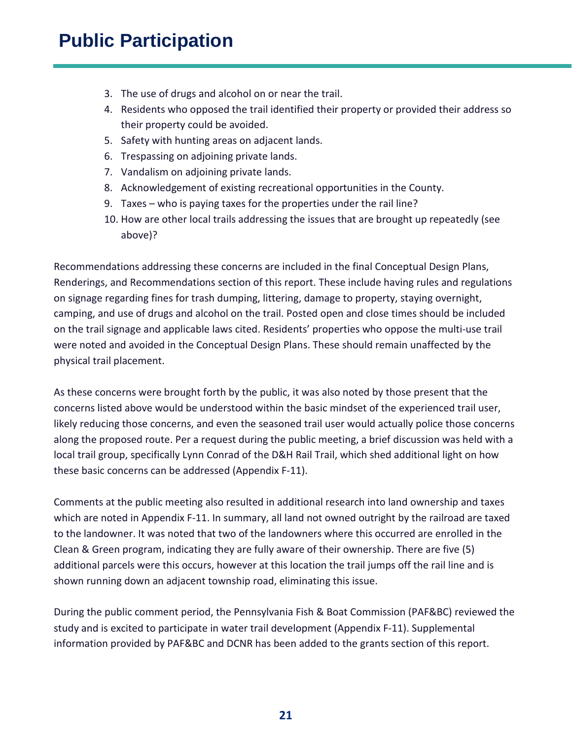- 3. The use of drugs and alcohol on or near the trail.
- 4. Residents who opposed the trail identified their property or provided their address so their property could be avoided.
- 5. Safety with hunting areas on adjacent lands.
- 6. Trespassing on adjoining private lands.
- 7. Vandalism on adjoining private lands.
- 8. Acknowledgement of existing recreational opportunities in the County.
- 9. Taxes who is paying taxes for the properties under the rail line?
- 10. How are other local trails addressing the issues that are brought up repeatedly (see above)?

Recommendations addressing these concerns are included in the final Conceptual Design Plans, Renderings, and Recommendations section of this report. These include having rules and regulations on signage regarding fines for trash dumping, littering, damage to property, staying overnight, camping, and use of drugs and alcohol on the trail. Posted open and close times should be included on the trail signage and applicable laws cited. Residents' properties who oppose the multi-use trail were noted and avoided in the Conceptual Design Plans. These should remain unaffected by the physical trail placement.

As these concerns were brought forth by the public, it was also noted by those present that the concerns listed above would be understood within the basic mindset of the experienced trail user, likely reducing those concerns, and even the seasoned trail user would actually police those concerns along the proposed route. Per a request during the public meeting, a brief discussion was held with a local trail group, specifically Lynn Conrad of the D&H Rail Trail, which shed additional light on how these basic concerns can be addressed (Appendix F-11).

Comments at the public meeting also resulted in additional research into land ownership and taxes which are noted in Appendix F-11. In summary, all land not owned outright by the railroad are taxed to the landowner. It was noted that two of the landowners where this occurred are enrolled in the Clean & Green program, indicating they are fully aware of their ownership. There are five (5) additional parcels were this occurs, however at this location the trail jumps off the rail line and is shown running down an adjacent township road, eliminating this issue.

During the public comment period, the Pennsylvania Fish & Boat Commission (PAF&BC) reviewed the study and is excited to participate in water trail development (Appendix F-11). Supplemental information provided by PAF&BC and DCNR has been added to the grants section of this report.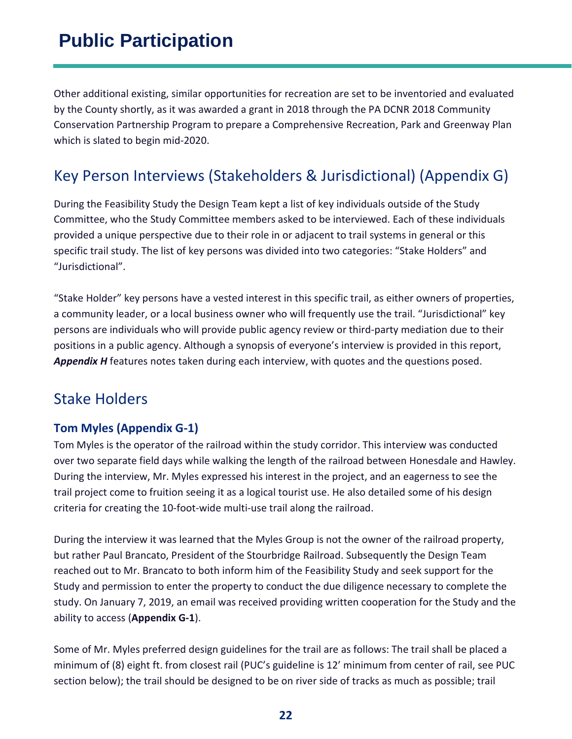Other additional existing, similar opportunities for recreation are set to be inventoried and evaluated by the County shortly, as it was awarded a grant in 2018 through the PA DCNR 2018 Community Conservation Partnership Program to prepare a Comprehensive Recreation, Park and Greenway Plan which is slated to begin mid-2020.

### <span id="page-21-0"></span>Key Person Interviews (Stakeholders & Jurisdictional) (Appendix G)

During the Feasibility Study the Design Team kept a list of key individuals outside of the Study Committee, who the Study Committee members asked to be interviewed. Each of these individuals provided a unique perspective due to their role in or adjacent to trail systems in general or this specific trail study. The list of key persons was divided into two categories: "Stake Holders" and "Jurisdictional".

"Stake Holder" key persons have a vested interest in this specific trail, as either owners of properties, a community leader, or a local business owner who will frequently use the trail. "Jurisdictional" key persons are individuals who will provide public agency review or third-party mediation due to their positions in a public agency. Although a synopsis of everyone's interview is provided in this report, *Appendix H* features notes taken during each interview, with quotes and the questions posed.

### <span id="page-21-1"></span>Stake Holders

#### **Tom Myles (Appendix G-1)**

Tom Myles is the operator of the railroad within the study corridor. This interview was conducted over two separate field days while walking the length of the railroad between Honesdale and Hawley. During the interview, Mr. Myles expressed his interest in the project, and an eagerness to see the trail project come to fruition seeing it as a logical tourist use. He also detailed some of his design criteria for creating the 10-foot-wide multi-use trail along the railroad.

During the interview it was learned that the Myles Group is not the owner of the railroad property, but rather Paul Brancato, President of the Stourbridge Railroad. Subsequently the Design Team reached out to Mr. Brancato to both inform him of the Feasibility Study and seek support for the Study and permission to enter the property to conduct the due diligence necessary to complete the study. On January 7, 2019, an email was received providing written cooperation for the Study and the ability to access (**Appendix G-1**).

Some of Mr. Myles preferred design guidelines for the trail are as follows: The trail shall be placed a minimum of (8) eight ft. from closest rail (PUC's guideline is 12' minimum from center of rail, see PUC section below); the trail should be designed to be on river side of tracks as much as possible; trail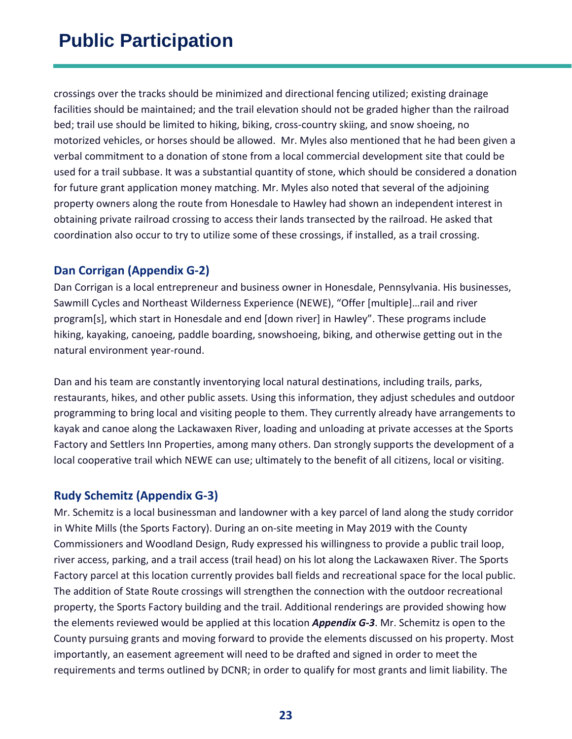crossings over the tracks should be minimized and directional fencing utilized; existing drainage facilities should be maintained; and the trail elevation should not be graded higher than the railroad bed; trail use should be limited to hiking, biking, cross-country skiing, and snow shoeing, no motorized vehicles, or horses should be allowed. Mr. Myles also mentioned that he had been given a verbal commitment to a donation of stone from a local commercial development site that could be used for a trail subbase. It was a substantial quantity of stone, which should be considered a donation for future grant application money matching. Mr. Myles also noted that several of the adjoining property owners along the route from Honesdale to Hawley had shown an independent interest in obtaining private railroad crossing to access their lands transected by the railroad. He asked that coordination also occur to try to utilize some of these crossings, if installed, as a trail crossing.

#### **Dan Corrigan (Appendix G-2)**

Dan Corrigan is a local entrepreneur and business owner in Honesdale, Pennsylvania. His businesses, Sawmill Cycles and Northeast Wilderness Experience (NEWE), "Offer [multiple]…rail and river program[s], which start in Honesdale and end [down river] in Hawley". These programs include hiking, kayaking, canoeing, paddle boarding, snowshoeing, biking, and otherwise getting out in the natural environment year-round.

Dan and his team are constantly inventorying local natural destinations, including trails, parks, restaurants, hikes, and other public assets. Using this information, they adjust schedules and outdoor programming to bring local and visiting people to them. They currently already have arrangements to kayak and canoe along the Lackawaxen River, loading and unloading at private accesses at the Sports Factory and Settlers Inn Properties, among many others. Dan strongly supports the development of a local cooperative trail which NEWE can use; ultimately to the benefit of all citizens, local or visiting.

#### **Rudy Schemitz (Appendix G-3)**

Mr. Schemitz is a local businessman and landowner with a key parcel of land along the study corridor in White Mills (the Sports Factory). During an on-site meeting in May 2019 with the County Commissioners and Woodland Design, Rudy expressed his willingness to provide a public trail loop, river access, parking, and a trail access (trail head) on his lot along the Lackawaxen River. The Sports Factory parcel at this location currently provides ball fields and recreational space for the local public. The addition of State Route crossings will strengthen the connection with the outdoor recreational property, the Sports Factory building and the trail. Additional renderings are provided showing how the elements reviewed would be applied at this location *Appendix G-3*. Mr. Schemitz is open to the County pursuing grants and moving forward to provide the elements discussed on his property. Most importantly, an easement agreement will need to be drafted and signed in order to meet the requirements and terms outlined by DCNR; in order to qualify for most grants and limit liability. The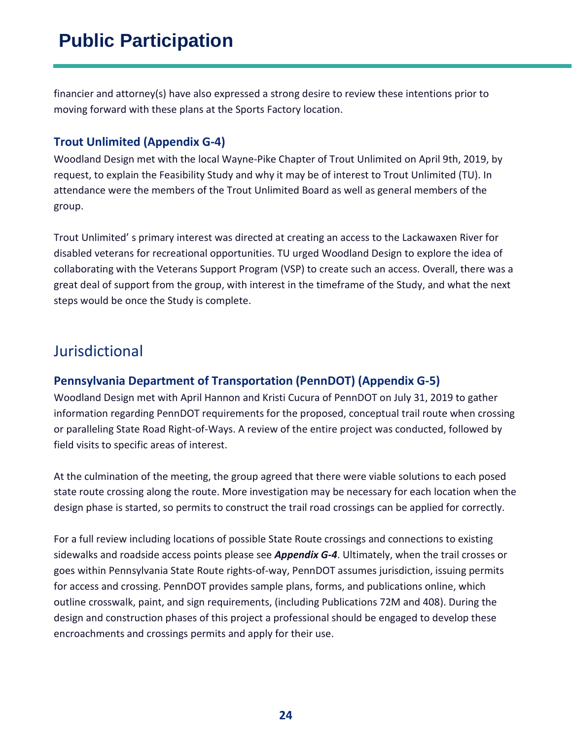financier and attorney(s) have also expressed a strong desire to review these intentions prior to moving forward with these plans at the Sports Factory location.

#### **Trout Unlimited (Appendix G-4)**

Woodland Design met with the local Wayne-Pike Chapter of Trout Unlimited on April 9th, 2019, by request, to explain the Feasibility Study and why it may be of interest to Trout Unlimited (TU). In attendance were the members of the Trout Unlimited Board as well as general members of the group.

Trout Unlimited' s primary interest was directed at creating an access to the Lackawaxen River for disabled veterans for recreational opportunities. TU urged Woodland Design to explore the idea of collaborating with the Veterans Support Program (VSP) to create such an access. Overall, there was a great deal of support from the group, with interest in the timeframe of the Study, and what the next steps would be once the Study is complete.

### <span id="page-23-0"></span>Jurisdictional

#### **Pennsylvania Department of Transportation (PennDOT) (Appendix G-5)**

Woodland Design met with April Hannon and Kristi Cucura of PennDOT on July 31, 2019 to gather information regarding PennDOT requirements for the proposed, conceptual trail route when crossing or paralleling State Road Right-of-Ways. A review of the entire project was conducted, followed by field visits to specific areas of interest.

At the culmination of the meeting, the group agreed that there were viable solutions to each posed state route crossing along the route. More investigation may be necessary for each location when the design phase is started, so permits to construct the trail road crossings can be applied for correctly.

For a full review including locations of possible State Route crossings and connections to existing sidewalks and roadside access points please see *Appendix G-4*. Ultimately, when the trail crosses or goes within Pennsylvania State Route rights-of-way, PennDOT assumes jurisdiction, issuing permits for access and crossing. PennDOT provides sample plans, forms, and publications online, which outline crosswalk, paint, and sign requirements, (including Publications 72M and 408). During the design and construction phases of this project a professional should be engaged to develop these encroachments and crossings permits and apply for their use.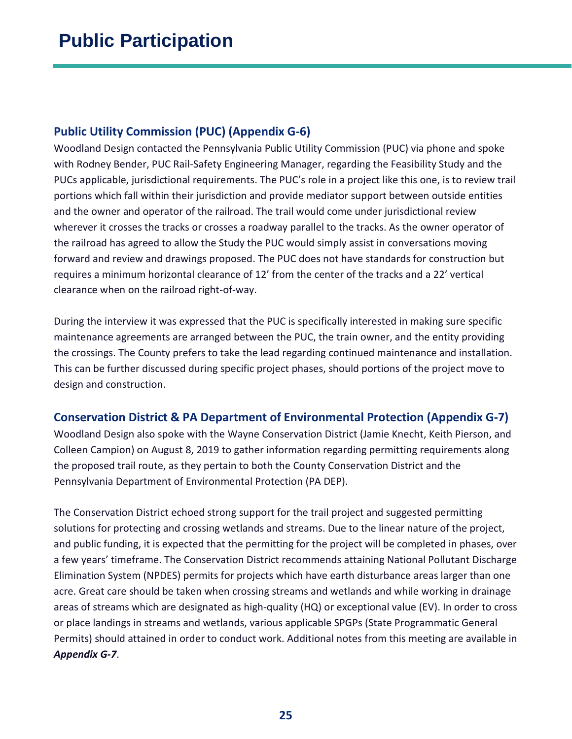#### **Public Utility Commission (PUC) (Appendix G-6)**

Woodland Design contacted the Pennsylvania Public Utility Commission (PUC) via phone and spoke with Rodney Bender, PUC Rail-Safety Engineering Manager, regarding the Feasibility Study and the PUCs applicable, jurisdictional requirements. The PUC's role in a project like this one, is to review trail portions which fall within their jurisdiction and provide mediator support between outside entities and the owner and operator of the railroad. The trail would come under jurisdictional review wherever it crosses the tracks or crosses a roadway parallel to the tracks. As the owner operator of the railroad has agreed to allow the Study the PUC would simply assist in conversations moving forward and review and drawings proposed. The PUC does not have standards for construction but requires a minimum horizontal clearance of 12' from the center of the tracks and a 22' vertical clearance when on the railroad right-of-way.

During the interview it was expressed that the PUC is specifically interested in making sure specific maintenance agreements are arranged between the PUC, the train owner, and the entity providing the crossings. The County prefers to take the lead regarding continued maintenance and installation. This can be further discussed during specific project phases, should portions of the project move to design and construction.

#### **Conservation District & PA Department of Environmental Protection (Appendix G-7)**

Woodland Design also spoke with the Wayne Conservation District (Jamie Knecht, Keith Pierson, and Colleen Campion) on August 8, 2019 to gather information regarding permitting requirements along the proposed trail route, as they pertain to both the County Conservation District and the Pennsylvania Department of Environmental Protection (PA DEP).

The Conservation District echoed strong support for the trail project and suggested permitting solutions for protecting and crossing wetlands and streams. Due to the linear nature of the project, and public funding, it is expected that the permitting for the project will be completed in phases, over a few years' timeframe. The Conservation District recommends attaining National Pollutant Discharge Elimination System (NPDES) permits for projects which have earth disturbance areas larger than one acre. Great care should be taken when crossing streams and wetlands and while working in drainage areas of streams which are designated as high-quality (HQ) or exceptional value (EV). In order to cross or place landings in streams and wetlands, various applicable SPGPs (State Programmatic General Permits) should attained in order to conduct work. Additional notes from this meeting are available in *Appendix G-7*.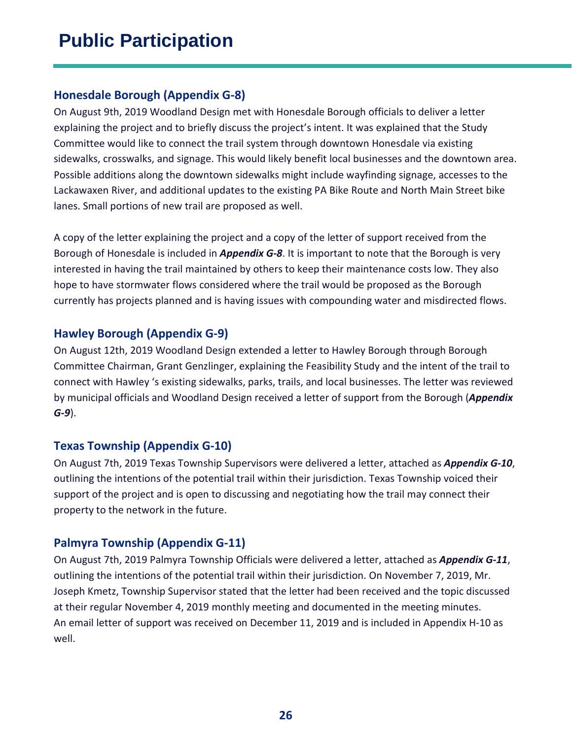#### **Honesdale Borough (Appendix G-8)**

On August 9th, 2019 Woodland Design met with Honesdale Borough officials to deliver a letter explaining the project and to briefly discuss the project's intent. It was explained that the Study Committee would like to connect the trail system through downtown Honesdale via existing sidewalks, crosswalks, and signage. This would likely benefit local businesses and the downtown area. Possible additions along the downtown sidewalks might include wayfinding signage, accesses to the Lackawaxen River, and additional updates to the existing PA Bike Route and North Main Street bike lanes. Small portions of new trail are proposed as well.

A copy of the letter explaining the project and a copy of the letter of support received from the Borough of Honesdale is included in *Appendix G-8*. It is important to note that the Borough is very interested in having the trail maintained by others to keep their maintenance costs low. They also hope to have stormwater flows considered where the trail would be proposed as the Borough currently has projects planned and is having issues with compounding water and misdirected flows.

#### **Hawley Borough (Appendix G-9)**

On August 12th, 2019 Woodland Design extended a letter to Hawley Borough through Borough Committee Chairman, Grant Genzlinger, explaining the Feasibility Study and the intent of the trail to connect with Hawley 's existing sidewalks, parks, trails, and local businesses. The letter was reviewed by municipal officials and Woodland Design received a letter of support from the Borough (*Appendix G-9*).

#### **Texas Township (Appendix G-10)**

On August 7th, 2019 Texas Township Supervisors were delivered a letter, attached as *Appendix G-10*, outlining the intentions of the potential trail within their jurisdiction. Texas Township voiced their support of the project and is open to discussing and negotiating how the trail may connect their property to the network in the future.

#### **Palmyra Township (Appendix G-11)**

On August 7th, 2019 Palmyra Township Officials were delivered a letter, attached as *Appendix G-11*, outlining the intentions of the potential trail within their jurisdiction. On November 7, 2019, Mr. Joseph Kmetz, Township Supervisor stated that the letter had been received and the topic discussed at their regular November 4, 2019 monthly meeting and documented in the meeting minutes. An email letter of support was received on December 11, 2019 and is included in Appendix H-10 as well.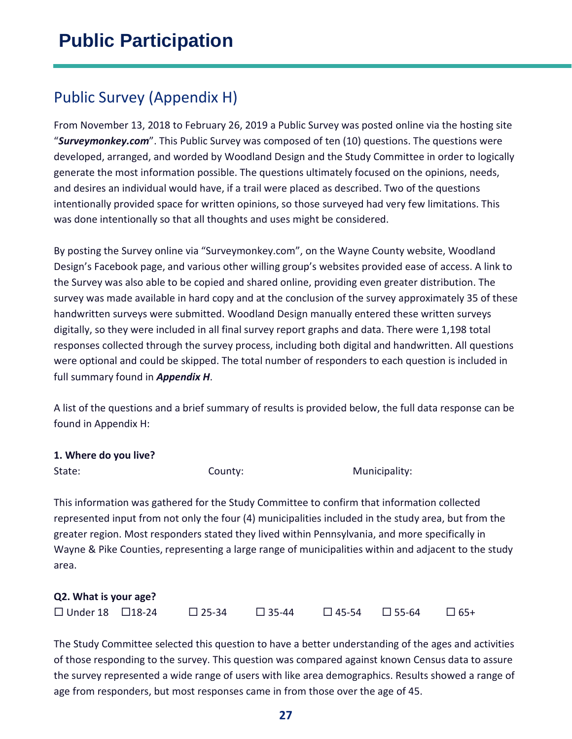## <span id="page-26-0"></span>Public Survey (Appendix H)

From November 13, 2018 to February 26, 2019 a Public Survey was posted online via the hosting site "*Surveymonkey.com*". This Public Survey was composed of ten (10) questions. The questions were developed, arranged, and worded by Woodland Design and the Study Committee in order to logically generate the most information possible. The questions ultimately focused on the opinions, needs, and desires an individual would have, if a trail were placed as described. Two of the questions intentionally provided space for written opinions, so those surveyed had very few limitations. This was done intentionally so that all thoughts and uses might be considered.

By posting the Survey online via "Surveymonkey.com", on the Wayne County website, Woodland Design's Facebook page, and various other willing group's websites provided ease of access. A link to the Survey was also able to be copied and shared online, providing even greater distribution. The survey was made available in hard copy and at the conclusion of the survey approximately 35 of these handwritten surveys were submitted. Woodland Design manually entered these written surveys digitally, so they were included in all final survey report graphs and data. There were 1,198 total responses collected through the survey process, including both digital and handwritten. All questions were optional and could be skipped. The total number of responders to each question is included in full summary found in *Appendix H*.

A list of the questions and a brief summary of results is provided below, the full data response can be found in Appendix H:

#### **1. Where do you live?**

State: State: County: County: Municipality:

This information was gathered for the Study Committee to confirm that information collected represented input from not only the four (4) municipalities included in the study area, but from the greater region. Most responders stated they lived within Pennsylvania, and more specifically in Wayne & Pike Counties, representing a large range of municipalities within and adjacent to the study area.

| Q2. What is your age?        |  |                 |              |  |                                               |  |
|------------------------------|--|-----------------|--------------|--|-----------------------------------------------|--|
| $\Box$ Under 18 $\Box$ 18-24 |  | $\square$ 25-34 | $\Box$ 35-44 |  | $\square$ 45-54 $\square$ 55-64 $\square$ 65+ |  |

The Study Committee selected this question to have a better understanding of the ages and activities of those responding to the survey. This question was compared against known Census data to assure the survey represented a wide range of users with like area demographics. Results showed a range of age from responders, but most responses came in from those over the age of 45.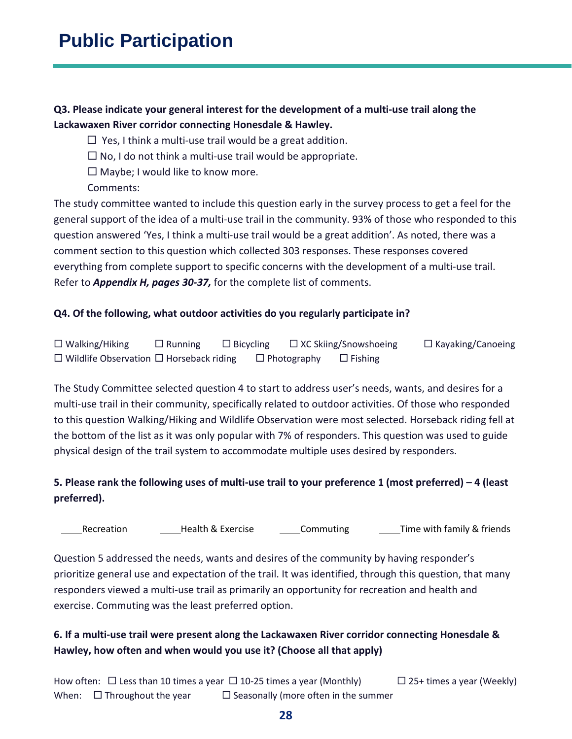#### **Q3. Please indicate your general interest for the development of a multi-use trail along the Lackawaxen River corridor connecting Honesdale & Hawley.**

- $\Box$  Yes, I think a multi-use trail would be a great addition.
- $\Box$  No, I do not think a multi-use trail would be appropriate.
- $\Box$  Maybe; I would like to know more.
- Comments:

The study committee wanted to include this question early in the survey process to get a feel for the general support of the idea of a multi-use trail in the community. 93% of those who responded to this question answered 'Yes, I think a multi-use trail would be a great addition'. As noted, there was a comment section to this question which collected 303 responses. These responses covered everything from complete support to specific concerns with the development of a multi-use trail. Refer to *Appendix H, pages 30-37,* for the complete list of comments.

#### **Q4. Of the following, what outdoor activities do you regularly participate in?**

 $\Box$  Walking/Hiking  $\Box$  Running  $\Box$  Bicycling  $\Box$  XC Skiing/Snowshoeing  $\Box$  Kayaking/Canoeing  $\square$  Wildlife Observation  $\square$  Horseback riding  $\square$  Photography  $\square$  Fishing

The Study Committee selected question 4 to start to address user's needs, wants, and desires for a multi-use trail in their community, specifically related to outdoor activities. Of those who responded to this question Walking/Hiking and Wildlife Observation were most selected. Horseback riding fell at the bottom of the list as it was only popular with 7% of responders. This question was used to guide physical design of the trail system to accommodate multiple uses desired by responders.

#### **5. Please rank the following uses of multi-use trail to your preference 1 (most preferred) – 4 (least preferred).**

Recreation **Health & Exercise** Commuting Time with family & friends

Question 5 addressed the needs, wants and desires of the community by having responder's prioritize general use and expectation of the trail. It was identified, through this question, that many responders viewed a multi-use trail as primarily an opportunity for recreation and health and exercise. Commuting was the least preferred option.

#### **6. If a multi-use trail were present along the Lackawaxen River corridor connecting Honesdale & Hawley, how often and when would you use it? (Choose all that apply)**

How often:  $\Box$  Less than 10 times a year  $\Box$  10-25 times a year (Monthly)  $\Box$  25+ times a year (Weekly) When:  $\Box$  Throughout the year  $\Box$  Seasonally (more often in the summer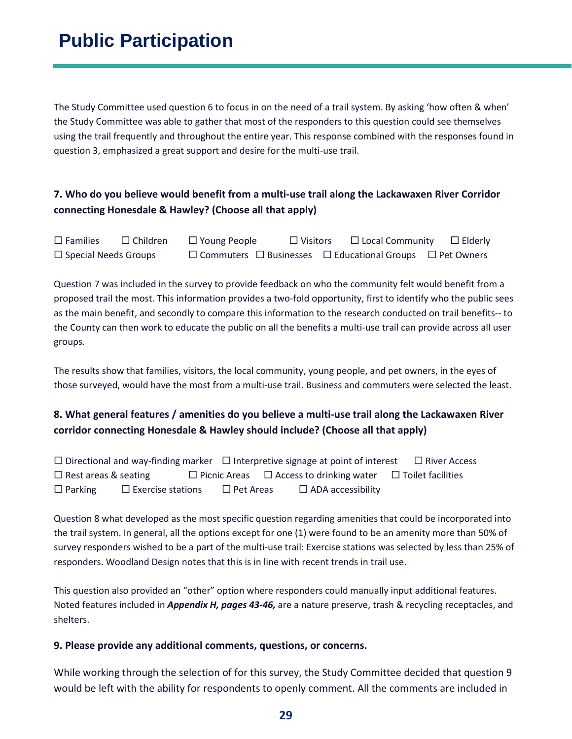The Study Committee used question 6 to focus in on the need of a trail system. By asking 'how often & when' the Study Committee was able to gather that most of the responders to this question could see themselves using the trail frequently and throughout the entire year. This response combined with the responses found in question 3, emphasized a great support and desire for the multi-use trail.

#### **7. Who do you believe would benefit from a multi-use trail along the Lackawaxen River Corridor connecting Honesdale & Hawley? (Choose all that apply)**

 $\square$  Families  $\square$  Children  $\square$  Young People  $\square$  Visitors  $\square$  Local Community  $\square$  Elderly  $\square$  Special Needs Groups  $\square$  Commuters  $\square$  Businesses  $\square$  Educational Groups  $\square$  Pet Owners

Question 7 was included in the survey to provide feedback on who the community felt would benefit from a proposed trail the most. This information provides a two-fold opportunity, first to identify who the public sees as the main benefit, and secondly to compare this information to the research conducted on trail benefits-- to the County can then work to educate the public on all the benefits a multi-use trail can provide across all user groups.

The results show that families, visitors, the local community, young people, and pet owners, in the eyes of those surveyed, would have the most from a multi-use trail. Business and commuters were selected the least.

#### **8. What general features / amenities do you believe a multi-use trail along the Lackawaxen River corridor connecting Honesdale & Hawley should include? (Choose all that apply)**

 $\Box$  Directional and way-finding marker  $\Box$  Interpretive signage at point of interest  $\Box$  River Access  $\Box$  Rest areas & seating  $\Box$  Picnic Areas  $\Box$  Access to drinking water  $\Box$  Toilet facilities  $\Box$  Parking  $\Box$  Exercise stations  $\Box$  Pet Areas  $\Box$  ADA accessibility

Question 8 what developed as the most specific question regarding amenities that could be incorporated into the trail system. In general, all the options except for one (1) were found to be an amenity more than 50% of survey responders wished to be a part of the multi-use trail: Exercise stations was selected by less than 25% of responders. Woodland Design notes that this is in line with recent trends in trail use.

This question also provided an "other" option where responders could manually input additional features. Noted features included in *Appendix H, pages 43-46,* are a nature preserve, trash & recycling receptacles, and shelters.

#### **9. Please provide any additional comments, questions, or concerns.**

While working through the selection of for this survey, the Study Committee decided that question 9 would be left with the ability for respondents to openly comment. All the comments are included in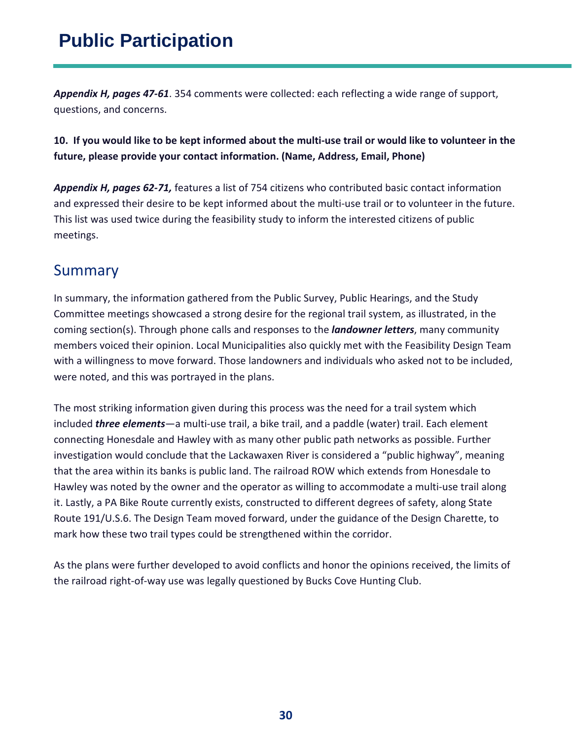*Appendix H, pages 47-61*. 354 comments were collected: each reflecting a wide range of support, questions, and concerns.

#### **10. If you would like to be kept informed about the multi-use trail or would like to volunteer in the future, please provide your contact information. (Name, Address, Email, Phone)**

*Appendix H, pages 62-71,* features a list of 754 citizens who contributed basic contact information and expressed their desire to be kept informed about the multi-use trail or to volunteer in the future. This list was used twice during the feasibility study to inform the interested citizens of public meetings.

### <span id="page-29-0"></span>Summary

In summary, the information gathered from the Public Survey, Public Hearings, and the Study Committee meetings showcased a strong desire for the regional trail system, as illustrated, in the coming section(s). Through phone calls and responses to the *landowner letters*, many community members voiced their opinion. Local Municipalities also quickly met with the Feasibility Design Team with a willingness to move forward. Those landowners and individuals who asked not to be included, were noted, and this was portrayed in the plans.

The most striking information given during this process was the need for a trail system which included *three elements*—a multi-use trail, a bike trail, and a paddle (water) trail. Each element connecting Honesdale and Hawley with as many other public path networks as possible. Further investigation would conclude that the Lackawaxen River is considered a "public highway", meaning that the area within its banks is public land. The railroad ROW which extends from Honesdale to Hawley was noted by the owner and the operator as willing to accommodate a multi-use trail along it. Lastly, a PA Bike Route currently exists, constructed to different degrees of safety, along State Route 191/U.S.6. The Design Team moved forward, under the guidance of the Design Charette, to mark how these two trail types could be strengthened within the corridor.

As the plans were further developed to avoid conflicts and honor the opinions received, the limits of the railroad right-of-way use was legally questioned by Bucks Cove Hunting Club.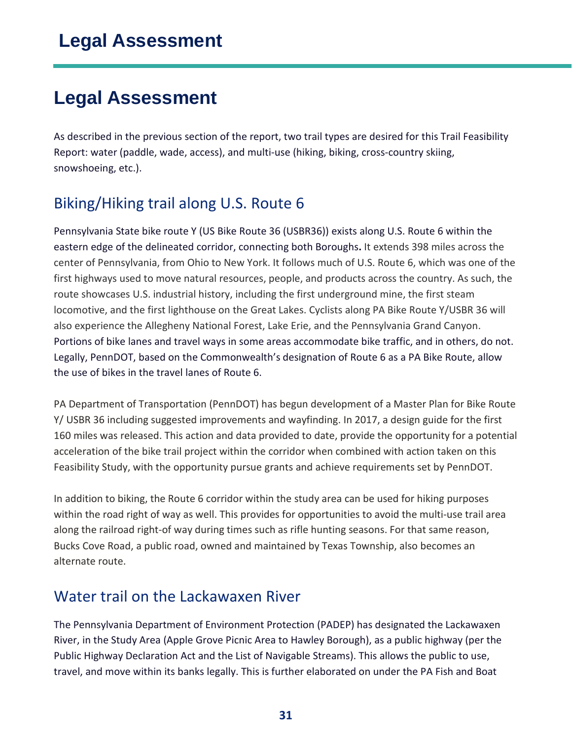## <span id="page-30-0"></span>**Legal Assessment**

As described in the previous section of the report, two trail types are desired for this Trail Feasibility Report: water (paddle, wade, access), and multi-use (hiking, biking, cross-country skiing, snowshoeing, etc.).

### <span id="page-30-1"></span>Biking/Hiking trail along U.S. Route 6

Pennsylvania State bike route Y (US Bike Route 36 (USBR36)) exists along U.S. Route 6 within the eastern edge of the delineated corridor, connecting both Boroughs**.** It extends 398 miles across the center of Pennsylvania, from Ohio to New York. It follows much of U.S. Route 6, which was one of the first highways used to move natural resources, people, and products across the country. As such, the route showcases U.S. industrial history, including the first underground mine, the first steam locomotive, and the first lighthouse on the Great Lakes. Cyclists along PA Bike Route Y/USBR 36 will also experience the Allegheny National Forest, Lake Erie, and the Pennsylvania Grand Canyon. Portions of bike lanes and travel ways in some areas accommodate bike traffic, and in others, do not. Legally, PennDOT, based on the Commonwealth's designation of Route 6 as a PA Bike Route, allow the use of bikes in the travel lanes of Route 6.

PA Department of Transportation (PennDOT) has begun development of a Master Plan for Bike Route Y/ USBR 36 including suggested improvements and wayfinding. In 2017, a design guide for the first 160 miles was released. This action and data provided to date, provide the opportunity for a potential acceleration of the bike trail project within the corridor when combined with action taken on this Feasibility Study, with the opportunity pursue grants and achieve requirements set by PennDOT.

In addition to biking, the Route 6 corridor within the study area can be used for hiking purposes within the road right of way as well. This provides for opportunities to avoid the multi-use trail area along the railroad right-of way during times such as rifle hunting seasons. For that same reason, Bucks Cove Road, a public road, owned and maintained by Texas Township, also becomes an alternate route.

### <span id="page-30-2"></span>Water trail on the Lackawaxen River

The Pennsylvania Department of Environment Protection (PADEP) has designated the Lackawaxen River, in the Study Area (Apple Grove Picnic Area to Hawley Borough), as a public highway (per the Public Highway Declaration Act and the List of Navigable Streams). This allows the public to use, travel, and move within its banks legally. This is further elaborated on under the PA Fish and Boat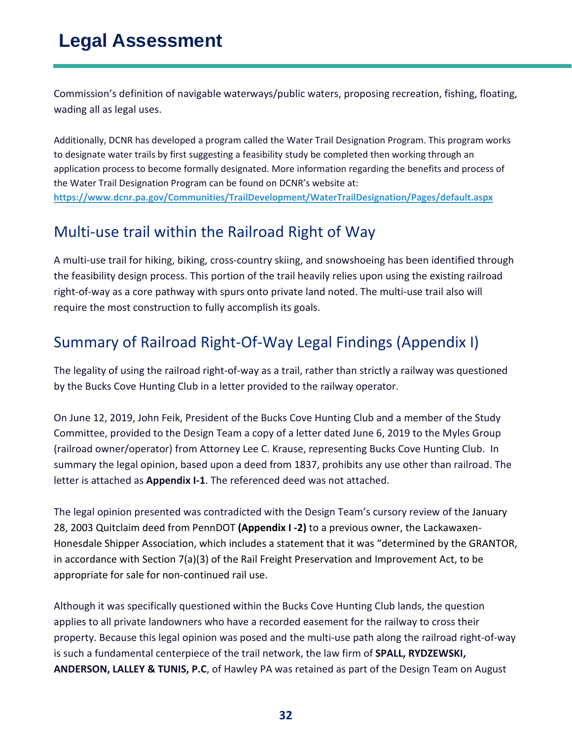## **Legal Assessment**

Commission's definition of navigable waterways/public waters, proposing recreation, fishing, floating, wading all as legal uses.

Additionally, DCNR has developed a program called the Water Trail Designation Program. This program works to designate water trails by first suggesting a feasibility study be completed then working through an application process to become formally designated. More information regarding the benefits and process of the Water Trail Designation Program can be found on DCNR's website at: **<https://www.dcnr.pa.gov/Communities/TrailDevelopment/WaterTrailDesignation/Pages/default.aspx>**

### <span id="page-31-0"></span>Multi-use trail within the Railroad Right of Way

A multi-use trail for hiking, biking, cross-country skiing, and snowshoeing has been identified through the feasibility design process. This portion of the trail heavily relies upon using the existing railroad right-of-way as a core pathway with spurs onto private land noted. The multi-use trail also will require the most construction to fully accomplish its goals.

## <span id="page-31-1"></span>Summary of Railroad Right-Of-Way Legal Findings (Appendix I)

The legality of using the railroad right-of-way as a trail, rather than strictly a railway was questioned by the Bucks Cove Hunting Club in a letter provided to the railway operator.

On June 12, 2019, John Feik, President of the Bucks Cove Hunting Club and a member of the Study Committee, provided to the Design Team a copy of a letter dated June 6, 2019 to the Myles Group (railroad owner/operator) from Attorney Lee C. Krause, representing Bucks Cove Hunting Club. In summary the legal opinion, based upon a deed from 1837, prohibits any use other than railroad. The letter is attached as **Appendix I-1**. The referenced deed was not attached.

The legal opinion presented was contradicted with the Design Team's cursory review of the January 28, 2003 Quitclaim deed from PennDOT **(Appendix I -2)** to a previous owner, the Lackawaxen-Honesdale Shipper Association, which includes a statement that it was "determined by the GRANTOR, in accordance with Section 7(a)(3) of the Rail Freight Preservation and Improvement Act, to be appropriate for sale for non-continued rail use.

Although it was specifically questioned within the Bucks Cove Hunting Club lands, the question applies to all private landowners who have a recorded easement for the railway to cross their property. Because this legal opinion was posed and the multi-use path along the railroad right-of-way is such a fundamental centerpiece of the trail network, the law firm of **SPALL, RYDZEWSKI, ANDERSON, LALLEY & TUNIS, P.C**, of Hawley PA was retained as part of the Design Team on August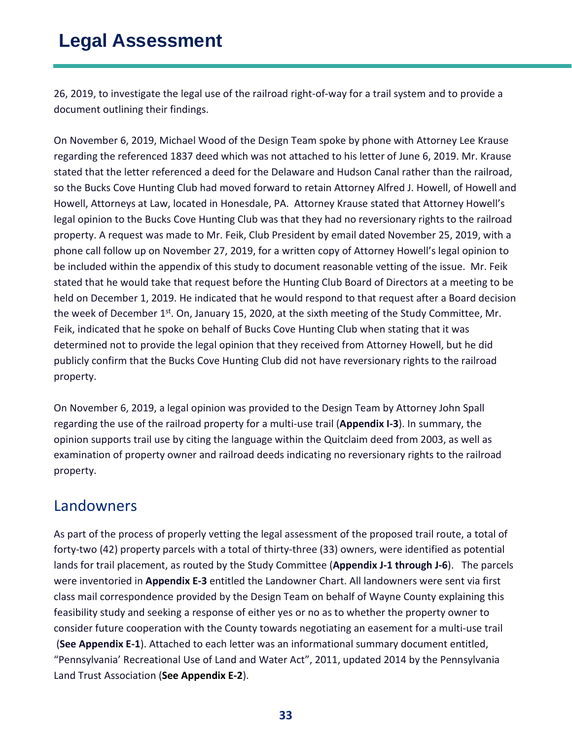## **Legal Assessment**

26, 2019, to investigate the legal use of the railroad right-of-way for a trail system and to provide a document outlining their findings.

On November 6, 2019, Michael Wood of the Design Team spoke by phone with Attorney Lee Krause regarding the referenced 1837 deed which was not attached to his letter of June 6, 2019. Mr. Krause stated that the letter referenced a deed for the Delaware and Hudson Canal rather than the railroad, so the Bucks Cove Hunting Club had moved forward to retain Attorney Alfred J. Howell, of Howell and Howell, Attorneys at Law, located in Honesdale, PA. Attorney Krause stated that Attorney Howell's legal opinion to the Bucks Cove Hunting Club was that they had no reversionary rights to the railroad property. A request was made to Mr. Feik, Club President by email dated November 25, 2019, with a phone call follow up on November 27, 2019, for a written copy of Attorney Howell's legal opinion to be included within the appendix of this study to document reasonable vetting of the issue. Mr. Feik stated that he would take that request before the Hunting Club Board of Directors at a meeting to be held on December 1, 2019. He indicated that he would respond to that request after a Board decision the week of December 1<sup>st</sup>. On, January 15, 2020, at the sixth meeting of the Study Committee, Mr. Feik, indicated that he spoke on behalf of Bucks Cove Hunting Club when stating that it was determined not to provide the legal opinion that they received from Attorney Howell, but he did publicly confirm that the Bucks Cove Hunting Club did not have reversionary rights to the railroad property.

On November 6, 2019, a legal opinion was provided to the Design Team by Attorney John Spall regarding the use of the railroad property for a multi-use trail (**Appendix I-3**). In summary, the opinion supports trail use by citing the language within the Quitclaim deed from 2003, as well as examination of property owner and railroad deeds indicating no reversionary rights to the railroad property.

### <span id="page-32-0"></span>Landowners

As part of the process of properly vetting the legal assessment of the proposed trail route, a total of forty-two (42) property parcels with a total of thirty-three (33) owners, were identified as potential lands for trail placement, as routed by the Study Committee (**Appendix J-1 through J-6**). The parcels were inventoried in **Appendix E-3** entitled the Landowner Chart. All landowners were sent via first class mail correspondence provided by the Design Team on behalf of Wayne County explaining this feasibility study and seeking a response of either yes or no as to whether the property owner to consider future cooperation with the County towards negotiating an easement for a multi-use trail (**See Appendix E-1**). Attached to each letter was an informational summary document entitled, "Pennsylvania' Recreational Use of Land and Water Act", 2011, updated 2014 by the Pennsylvania Land Trust Association (**See Appendix E-2**).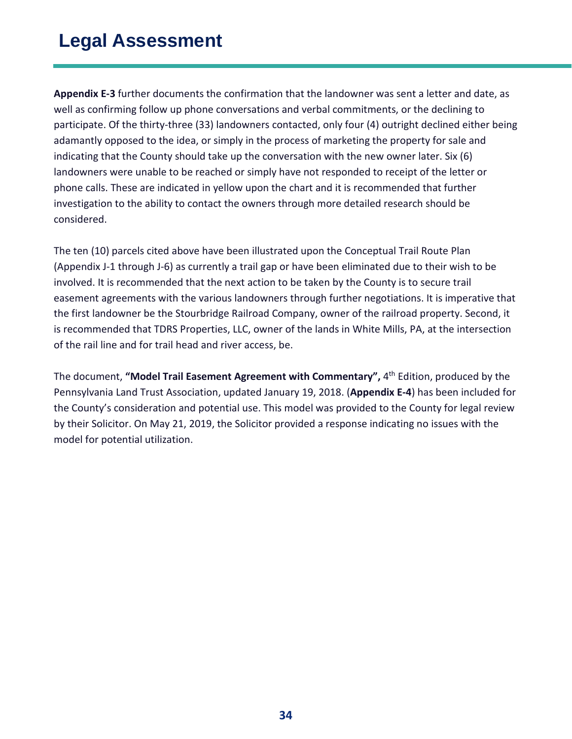**Appendix E-3** further documents the confirmation that the landowner was sent a letter and date, as well as confirming follow up phone conversations and verbal commitments, or the declining to participate. Of the thirty-three (33) landowners contacted, only four (4) outright declined either being adamantly opposed to the idea, or simply in the process of marketing the property for sale and indicating that the County should take up the conversation with the new owner later. Six (6) landowners were unable to be reached or simply have not responded to receipt of the letter or phone calls. These are indicated in yellow upon the chart and it is recommended that further investigation to the ability to contact the owners through more detailed research should be considered.

The ten (10) parcels cited above have been illustrated upon the Conceptual Trail Route Plan (Appendix J-1 through J-6) as currently a trail gap or have been eliminated due to their wish to be involved. It is recommended that the next action to be taken by the County is to secure trail easement agreements with the various landowners through further negotiations. It is imperative that the first landowner be the Stourbridge Railroad Company, owner of the railroad property. Second, it is recommended that TDRS Properties, LLC, owner of the lands in White Mills, PA, at the intersection of the rail line and for trail head and river access, be.

The document, **"Model Trail Easement Agreement with Commentary",** 4th Edition, produced by the Pennsylvania Land Trust Association, updated January 19, 2018. (**Appendix E-4**) has been included for the County's consideration and potential use. This model was provided to the County for legal review by their Solicitor. On May 21, 2019, the Solicitor provided a response indicating no issues with the model for potential utilization.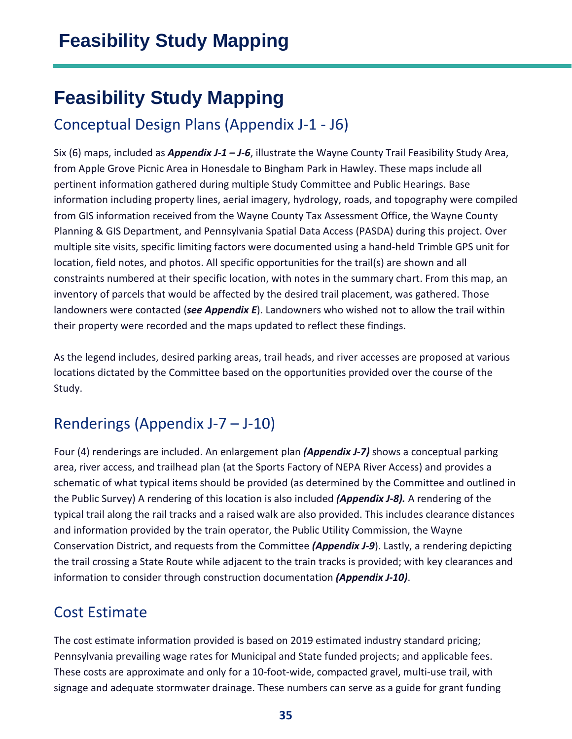## <span id="page-34-0"></span>**Feasibility Study Mapping**

## <span id="page-34-1"></span>Conceptual Design Plans (Appendix J-1 - J6)

Six (6) maps, included as *Appendix J-1 – J-6*, illustrate the Wayne County Trail Feasibility Study Area, from Apple Grove Picnic Area in Honesdale to Bingham Park in Hawley. These maps include all pertinent information gathered during multiple Study Committee and Public Hearings. Base information including property lines, aerial imagery, hydrology, roads, and topography were compiled from GIS information received from the Wayne County Tax Assessment Office, the Wayne County Planning & GIS Department, and Pennsylvania Spatial Data Access (PASDA) during this project. Over multiple site visits, specific limiting factors were documented using a hand-held Trimble GPS unit for location, field notes, and photos. All specific opportunities for the trail(s) are shown and all constraints numbered at their specific location, with notes in the summary chart. From this map, an inventory of parcels that would be affected by the desired trail placement, was gathered. Those landowners were contacted (*see Appendix E*). Landowners who wished not to allow the trail within their property were recorded and the maps updated to reflect these findings.

As the legend includes, desired parking areas, trail heads, and river accesses are proposed at various locations dictated by the Committee based on the opportunities provided over the course of the Study.

## <span id="page-34-2"></span>Renderings (Appendix J-7 – J-10)

Four (4) renderings are included. An enlargement plan *(Appendix J-7)* shows a conceptual parking area, river access, and trailhead plan (at the Sports Factory of NEPA River Access) and provides a schematic of what typical items should be provided (as determined by the Committee and outlined in the Public Survey) A rendering of this location is also included *(Appendix J-8).* A rendering of the typical trail along the rail tracks and a raised walk are also provided. This includes clearance distances and information provided by the train operator, the Public Utility Commission, the Wayne Conservation District, and requests from the Committee *(Appendix J-9*). Lastly, a rendering depicting the trail crossing a State Route while adjacent to the train tracks is provided; with key clearances and information to consider through construction documentation *(Appendix J-10)*.

## <span id="page-34-3"></span>Cost Estimate

The cost estimate information provided is based on 2019 estimated industry standard pricing; Pennsylvania prevailing wage rates for Municipal and State funded projects; and applicable fees. These costs are approximate and only for a 10-foot-wide, compacted gravel, multi-use trail, with signage and adequate stormwater drainage. These numbers can serve as a guide for grant funding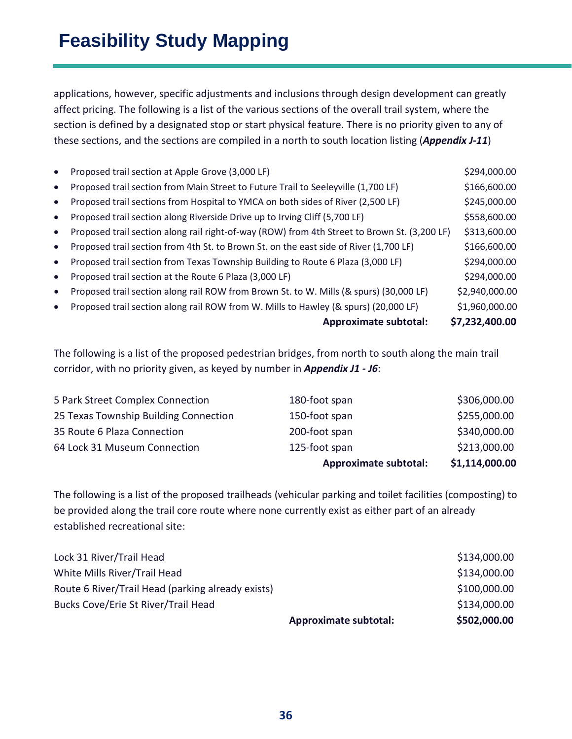applications, however, specific adjustments and inclusions through design development can greatly affect pricing. The following is a list of the various sections of the overall trail system, where the section is defined by a designated stop or start physical feature. There is no priority given to any of these sections, and the sections are compiled in a north to south location listing (*Appendix J-11*)

| $\bullet$ | Proposed trail section at Apple Grove (3,000 LF)                                             | \$294,000.00   |
|-----------|----------------------------------------------------------------------------------------------|----------------|
| $\bullet$ | Proposed trail section from Main Street to Future Trail to Seeleyville (1,700 LF)            | \$166,600.00   |
| $\bullet$ | Proposed trail sections from Hospital to YMCA on both sides of River (2,500 LF)              | \$245,000.00   |
| $\bullet$ | Proposed trail section along Riverside Drive up to Irving Cliff (5,700 LF)                   | \$558,600.00   |
| $\bullet$ | Proposed trail section along rail right-of-way (ROW) from 4th Street to Brown St. (3,200 LF) | \$313,600.00   |
| $\bullet$ | Proposed trail section from 4th St. to Brown St. on the east side of River (1,700 LF)        | \$166,600.00   |
| $\bullet$ | Proposed trail section from Texas Township Building to Route 6 Plaza (3,000 LF)              | \$294,000.00   |
| $\bullet$ | Proposed trail section at the Route 6 Plaza (3,000 LF)                                       | \$294,000.00   |
| $\bullet$ | Proposed trail section along rail ROW from Brown St. to W. Mills (& spurs) (30,000 LF)       | \$2,940,000.00 |
| $\bullet$ | Proposed trail section along rail ROW from W. Mills to Hawley (& spurs) (20,000 LF)          | \$1,960,000.00 |
|           | <b>Approximate subtotal:</b>                                                                 | \$7,232,400.00 |

The following is a list of the proposed pedestrian bridges, from north to south along the main trail corridor, with no priority given, as keyed by number in *Appendix J1 - J6*:

|                                       | <b>Approximate subtotal:</b> | \$1,114,000.00 |
|---------------------------------------|------------------------------|----------------|
| 64 Lock 31 Museum Connection          | 125-foot span                | \$213,000.00   |
| 35 Route 6 Plaza Connection           | 200-foot span                | \$340,000.00   |
| 25 Texas Township Building Connection | 150-foot span                | \$255,000.00   |
| 5 Park Street Complex Connection      | 180-foot span                | \$306,000.00   |

The following is a list of the proposed trailheads (vehicular parking and toilet facilities (composting) to be provided along the trail core route where none currently exist as either part of an already established recreational site:

|                                                   | <b>Approximate subtotal:</b> | \$502,000.00 |
|---------------------------------------------------|------------------------------|--------------|
| <b>Bucks Cove/Erie St River/Trail Head</b>        |                              | \$134,000.00 |
| Route 6 River/Trail Head (parking already exists) |                              | \$100,000.00 |
| White Mills River/Trail Head                      |                              | \$134,000.00 |
| Lock 31 River/Trail Head                          |                              | \$134,000.00 |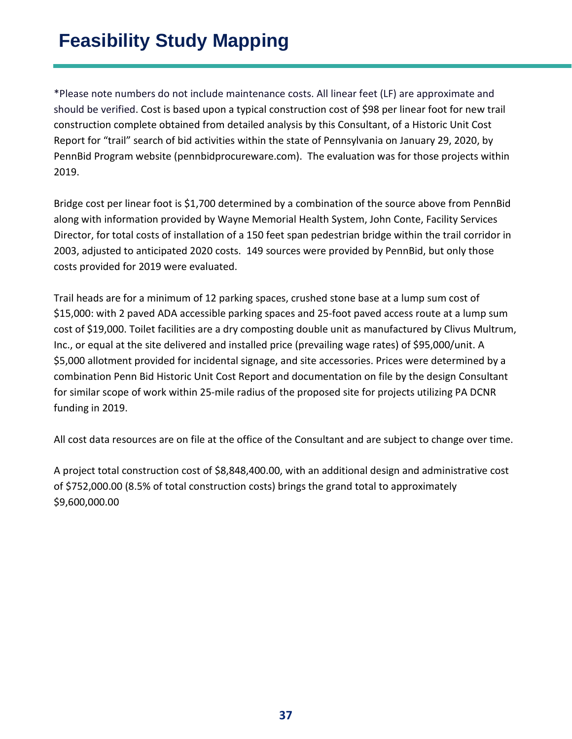## **Feasibility Study Mapping**

\*Please note numbers do not include maintenance costs. All linear feet (LF) are approximate and should be verified. Cost is based upon a typical construction cost of \$98 per linear foot for new trail construction complete obtained from detailed analysis by this Consultant, of a Historic Unit Cost Report for "trail" search of bid activities within the state of Pennsylvania on January 29, 2020, by PennBid Program website (pennbidprocureware.com). The evaluation was for those projects within 2019.

Bridge cost per linear foot is \$1,700 determined by a combination of the source above from PennBid along with information provided by Wayne Memorial Health System, John Conte, Facility Services Director, for total costs of installation of a 150 feet span pedestrian bridge within the trail corridor in 2003, adjusted to anticipated 2020 costs. 149 sources were provided by PennBid, but only those costs provided for 2019 were evaluated.

Trail heads are for a minimum of 12 parking spaces, crushed stone base at a lump sum cost of \$15,000: with 2 paved ADA accessible parking spaces and 25-foot paved access route at a lump sum cost of \$19,000. Toilet facilities are a dry composting double unit as manufactured by Clivus Multrum, Inc., or equal at the site delivered and installed price (prevailing wage rates) of \$95,000/unit. A \$5,000 allotment provided for incidental signage, and site accessories. Prices were determined by a combination Penn Bid Historic Unit Cost Report and documentation on file by the design Consultant for similar scope of work within 25-mile radius of the proposed site for projects utilizing PA DCNR funding in 2019.

All cost data resources are on file at the office of the Consultant and are subject to change over time.

A project total construction cost of \$8,848,400.00, with an additional design and administrative cost of \$752,000.00 (8.5% of total construction costs) brings the grand total to approximately \$9,600,000.00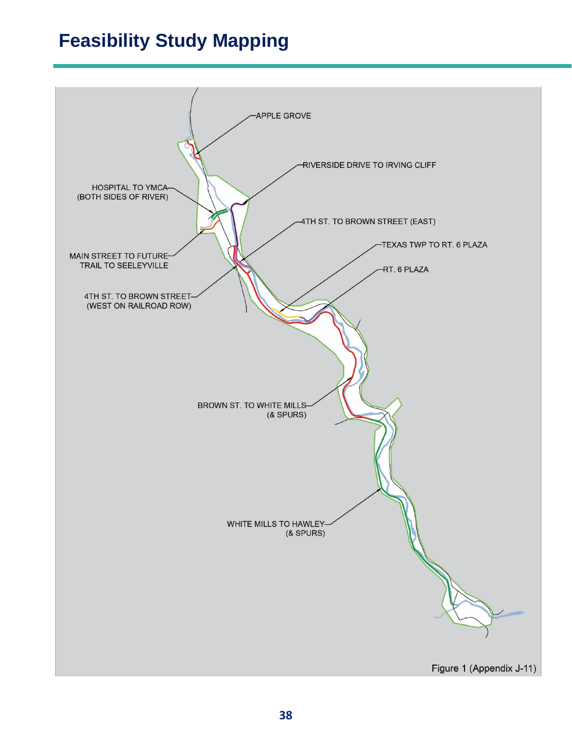## **Feasibility Study Mapping**

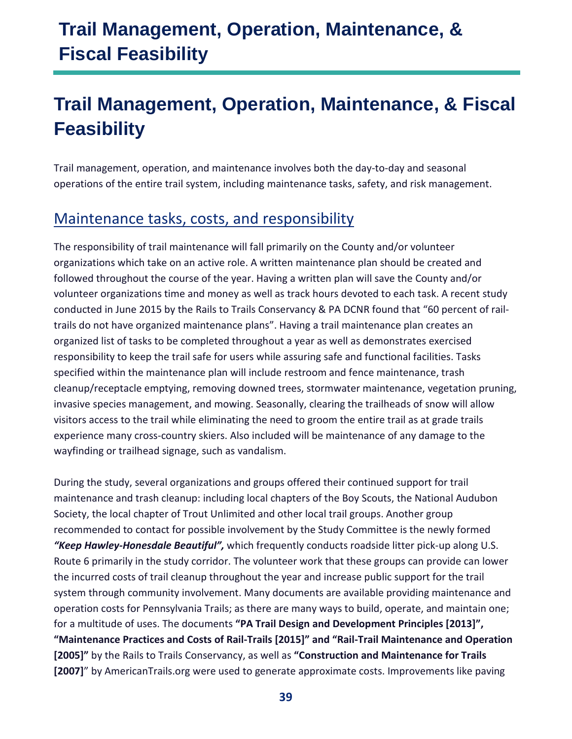## **Trail Management, Operation, Maintenance, & Fiscal Feasibility**

## <span id="page-38-0"></span>**Trail Management, Operation, Maintenance, & Fiscal Feasibility**

Trail management, operation, and maintenance involves both the day-to-day and seasonal operations of the entire trail system, including maintenance tasks, safety, and risk management.

### <span id="page-38-1"></span>Maintenance tasks, costs, and responsibility

The responsibility of trail maintenance will fall primarily on the County and/or volunteer organizations which take on an active role. A written maintenance plan should be created and followed throughout the course of the year. Having a written plan will save the County and/or volunteer organizations time and money as well as track hours devoted to each task. A recent study conducted in June 2015 by the Rails to Trails Conservancy & PA DCNR found that "60 percent of railtrails do not have organized maintenance plans". Having a trail maintenance plan creates an organized list of tasks to be completed throughout a year as well as demonstrates exercised responsibility to keep the trail safe for users while assuring safe and functional facilities. Tasks specified within the maintenance plan will include restroom and fence maintenance, trash cleanup/receptacle emptying, removing downed trees, stormwater maintenance, vegetation pruning, invasive species management, and mowing. Seasonally, clearing the trailheads of snow will allow visitors access to the trail while eliminating the need to groom the entire trail as at grade trails experience many cross-country skiers. Also included will be maintenance of any damage to the wayfinding or trailhead signage, such as vandalism.

During the study, several organizations and groups offered their continued support for trail maintenance and trash cleanup: including local chapters of the Boy Scouts, the National Audubon Society, the local chapter of Trout Unlimited and other local trail groups. Another group recommended to contact for possible involvement by the Study Committee is the newly formed *"Keep Hawley-Honesdale Beautiful",* which frequently conducts roadside litter pick-up along U.S. Route 6 primarily in the study corridor. The volunteer work that these groups can provide can lower the incurred costs of trail cleanup throughout the year and increase public support for the trail system through community involvement. Many documents are available providing maintenance and operation costs for Pennsylvania Trails; as there are many ways to build, operate, and maintain one; for a multitude of uses. The documents **"PA Trail Design and Development Principles [2013]", "Maintenance Practices and Costs of Rail-Trails [2015]" and "Rail-Trail Maintenance and Operation [2005]"** by the Rails to Trails Conservancy, as well as **"Construction and Maintenance for Trails [2007]**" by AmericanTrails.org were used to generate approximate costs. Improvements like paving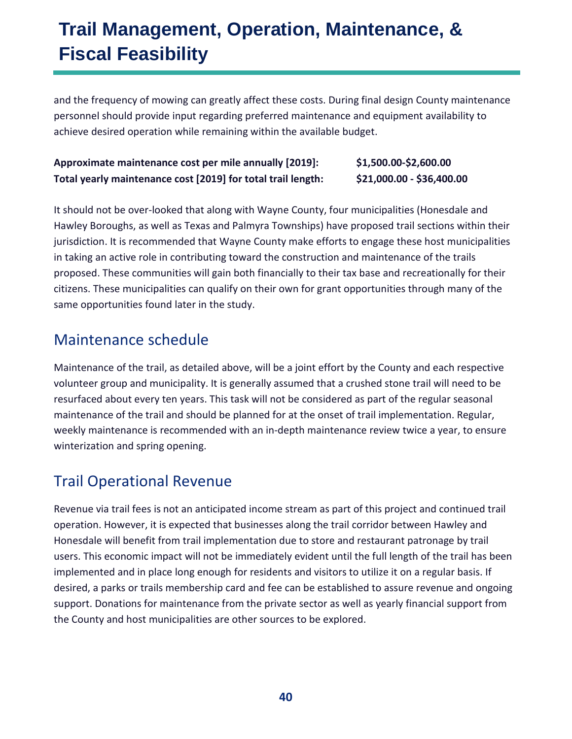## **Trail Management, Operation, Maintenance, & Fiscal Feasibility**

and the frequency of mowing can greatly affect these costs. During final design County maintenance personnel should provide input regarding preferred maintenance and equipment availability to achieve desired operation while remaining within the available budget.

#### **Approximate maintenance cost per mile annually [2019]: \$1,500.00-\$2,600.00 Total yearly maintenance cost [2019] for total trail length: \$21,000.00 - \$36,400.00**

It should not be over-looked that along with Wayne County, four municipalities (Honesdale and Hawley Boroughs, as well as Texas and Palmyra Townships) have proposed trail sections within their jurisdiction. It is recommended that Wayne County make efforts to engage these host municipalities in taking an active role in contributing toward the construction and maintenance of the trails proposed. These communities will gain both financially to their tax base and recreationally for their citizens. These municipalities can qualify on their own for grant opportunities through many of the same opportunities found later in the study.

### <span id="page-39-0"></span>Maintenance schedule

Maintenance of the trail, as detailed above, will be a joint effort by the County and each respective volunteer group and municipality. It is generally assumed that a crushed stone trail will need to be resurfaced about every ten years. This task will not be considered as part of the regular seasonal maintenance of the trail and should be planned for at the onset of trail implementation. Regular, weekly maintenance is recommended with an in-depth maintenance review twice a year, to ensure winterization and spring opening.

### <span id="page-39-1"></span>Trail Operational Revenue

Revenue via trail fees is not an anticipated income stream as part of this project and continued trail operation. However, it is expected that businesses along the trail corridor between Hawley and Honesdale will benefit from trail implementation due to store and restaurant patronage by trail users. This economic impact will not be immediately evident until the full length of the trail has been implemented and in place long enough for residents and visitors to utilize it on a regular basis. If desired, a parks or trails membership card and fee can be established to assure revenue and ongoing support. Donations for maintenance from the private sector as well as yearly financial support from the County and host municipalities are other sources to be explored.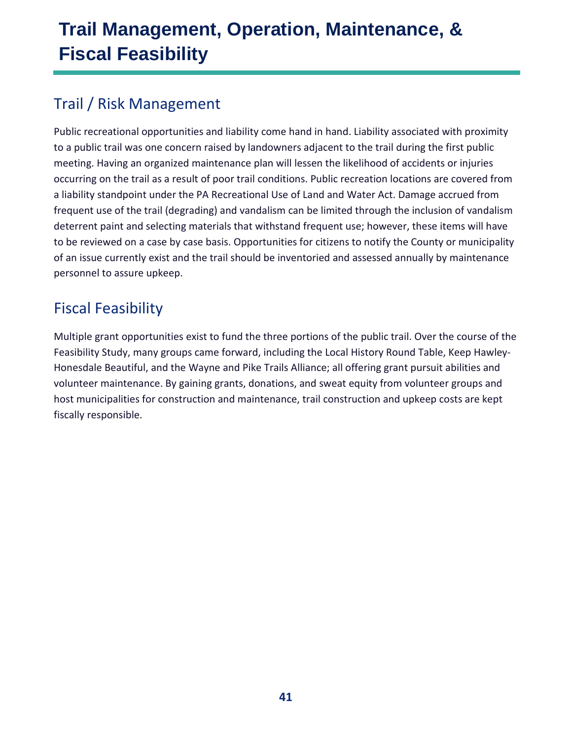## **Trail Management, Operation, Maintenance, & Fiscal Feasibility**

## <span id="page-40-0"></span>Trail / Risk Management

Public recreational opportunities and liability come hand in hand. Liability associated with proximity to a public trail was one concern raised by landowners adjacent to the trail during the first public meeting. Having an organized maintenance plan will lessen the likelihood of accidents or injuries occurring on the trail as a result of poor trail conditions. Public recreation locations are covered from a liability standpoint under the PA Recreational Use of Land and Water Act. Damage accrued from frequent use of the trail (degrading) and vandalism can be limited through the inclusion of vandalism deterrent paint and selecting materials that withstand frequent use; however, these items will have to be reviewed on a case by case basis. Opportunities for citizens to notify the County or municipality of an issue currently exist and the trail should be inventoried and assessed annually by maintenance personnel to assure upkeep.

## <span id="page-40-1"></span>Fiscal Feasibility

Multiple grant opportunities exist to fund the three portions of the public trail. Over the course of the Feasibility Study, many groups came forward, including the Local History Round Table, Keep Hawley-Honesdale Beautiful, and the Wayne and Pike Trails Alliance; all offering grant pursuit abilities and volunteer maintenance. By gaining grants, donations, and sweat equity from volunteer groups and host municipalities for construction and maintenance, trail construction and upkeep costs are kept fiscally responsible.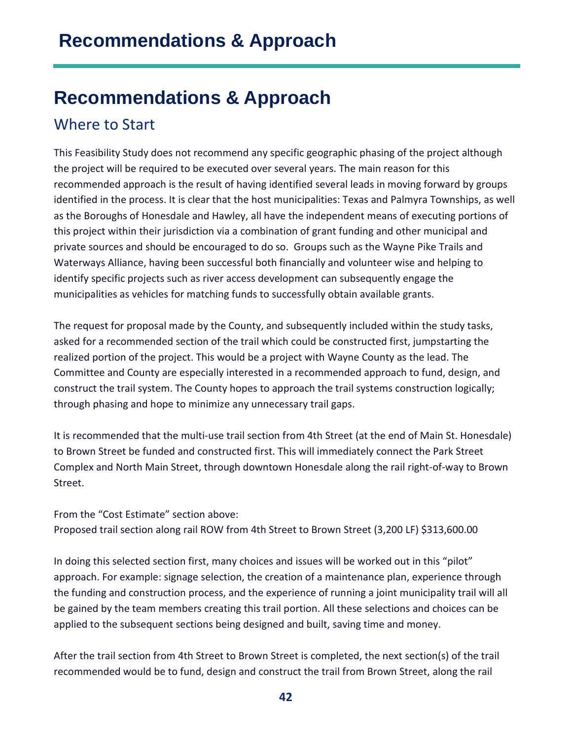## <span id="page-41-0"></span>**Recommendations & Approach**

#### <span id="page-41-1"></span>Where to Start

This Feasibility Study does not recommend any specific geographic phasing of the project although the project will be required to be executed over several years. The main reason for this recommended approach is the result of having identified several leads in moving forward by groups identified in the process. It is clear that the host municipalities: Texas and Palmyra Townships, as well as the Boroughs of Honesdale and Hawley, all have the independent means of executing portions of this project within their jurisdiction via a combination of grant funding and other municipal and private sources and should be encouraged to do so. Groups such as the Wayne Pike Trails and Waterways Alliance, having been successful both financially and volunteer wise and helping to identify specific projects such as river access development can subsequently engage the municipalities as vehicles for matching funds to successfully obtain available grants.

The request for proposal made by the County, and subsequently included within the study tasks, asked for a recommended section of the trail which could be constructed first, jumpstarting the realized portion of the project. This would be a project with Wayne County as the lead. The Committee and County are especially interested in a recommended approach to fund, design, and construct the trail system. The County hopes to approach the trail systems construction logically; through phasing and hope to minimize any unnecessary trail gaps.

It is recommended that the multi-use trail section from 4th Street (at the end of Main St. Honesdale) to Brown Street be funded and constructed first. This will immediately connect the Park Street Complex and North Main Street, through downtown Honesdale along the rail right-of-way to Brown Street.

From the "Cost Estimate" section above: Proposed trail section along rail ROW from 4th Street to Brown Street (3,200 LF) \$313,600.00

In doing this selected section first, many choices and issues will be worked out in this "pilot" approach. For example: signage selection, the creation of a maintenance plan, experience through the funding and construction process, and the experience of running a joint municipality trail will all be gained by the team members creating this trail portion. All these selections and choices can be applied to the subsequent sections being designed and built, saving time and money.

After the trail section from 4th Street to Brown Street is completed, the next section(s) of the trail recommended would be to fund, design and construct the trail from Brown Street, along the rail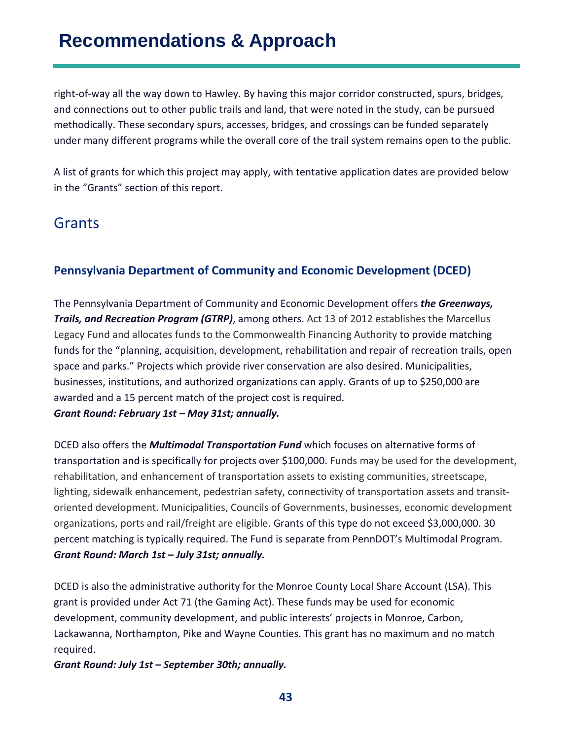right-of-way all the way down to Hawley. By having this major corridor constructed, spurs, bridges, and connections out to other public trails and land, that were noted in the study, can be pursued methodically. These secondary spurs, accesses, bridges, and crossings can be funded separately under many different programs while the overall core of the trail system remains open to the public.

A list of grants for which this project may apply, with tentative application dates are provided below in the "Grants" section of this report.

### <span id="page-42-0"></span>Grants

#### **Pennsylvania Department of Community and Economic Development (DCED)**

The Pennsylvania Department of Community and Economic Development offers *the Greenways, Trails, and Recreation Program (GTRP)*, among others. Act 13 of 2012 establishes the Marcellus Legacy Fund and allocates funds to the Commonwealth Financing Authority to provide matching funds for the "planning, acquisition, development, rehabilitation and repair of recreation trails, open space and parks." Projects which provide river conservation are also desired. Municipalities, businesses, institutions, and authorized organizations can apply. Grants of up to \$250,000 are awarded and a 15 percent match of the project cost is required. *Grant Round: February 1st – May 31st; annually.* 

DCED also offers the *Multimodal Transportation Fund* which focuses on alternative forms of transportation and is specifically for projects over \$100,000. Funds may be used for the development, rehabilitation, and enhancement of transportation assets to existing communities, streetscape, lighting, sidewalk enhancement, pedestrian safety, connectivity of transportation assets and transitoriented development. Municipalities, Councils of Governments, businesses, economic development organizations, ports and rail/freight are eligible. Grants of this type do not exceed \$3,000,000. 30 percent matching is typically required. The Fund is separate from PennDOT's Multimodal Program. *Grant Round: March 1st – July 31st; annually.* 

DCED is also the administrative authority for the Monroe County Local Share Account (LSA). This grant is provided under Act 71 (the Gaming Act). These funds may be used for economic development, community development, and public interests' projects in Monroe, Carbon, Lackawanna, Northampton, Pike and Wayne Counties. This grant has no maximum and no match required.

*Grant Round: July 1st – September 30th; annually.*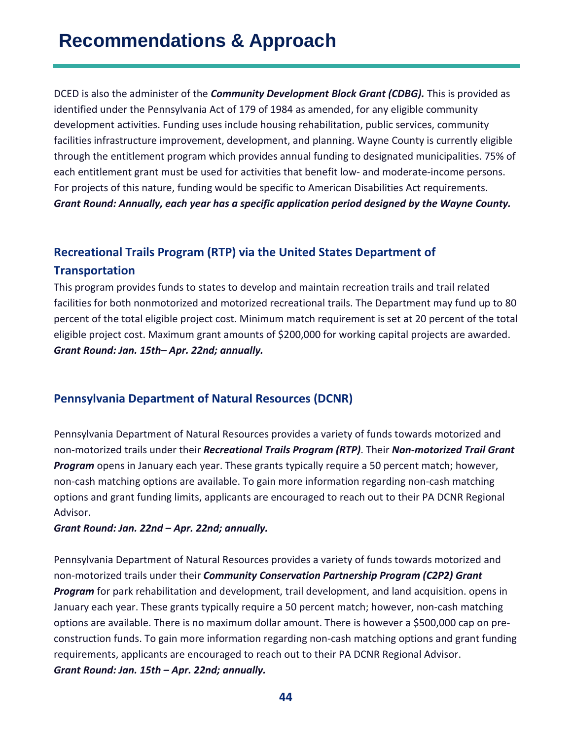DCED is also the administer of the *Community Development Block Grant (CDBG).* This is provided as identified under the Pennsylvania Act of 179 of 1984 as amended, for any eligible community development activities. Funding uses include housing rehabilitation, public services, community facilities infrastructure improvement, development, and planning. Wayne County is currently eligible through the entitlement program which provides annual funding to designated municipalities. 75% of each entitlement grant must be used for activities that benefit low- and moderate-income persons. For projects of this nature, funding would be specific to American Disabilities Act requirements. *Grant Round: Annually, each year has a specific application period designed by the Wayne County.*

### **Recreational Trails Program (RTP) via the United States Department of Transportation**

This program provides funds to states to develop and maintain recreation trails and trail related facilities for both nonmotorized and motorized recreational trails. The Department may fund up to 80 percent of the total eligible project cost. Minimum match requirement is set at 20 percent of the total eligible project cost. Maximum grant amounts of \$200,000 for working capital projects are awarded. *Grant Round: Jan. 15th– Apr. 22nd; annually.*

#### **Pennsylvania Department of Natural Resources (DCNR)**

Pennsylvania Department of Natural Resources provides a variety of funds towards motorized and non-motorized trails under their *Recreational Trails Program (RTP)*. Their *Non-motorized Trail Grant Program* opens in January each year. These grants typically require a 50 percent match; however, non-cash matching options are available. To gain more information regarding non-cash matching options and grant funding limits, applicants are encouraged to reach out to their PA DCNR Regional Advisor.

#### *Grant Round: Jan. 22nd – Apr. 22nd; annually.*

Pennsylvania Department of Natural Resources provides a variety of funds towards motorized and non-motorized trails under their *Community Conservation Partnership Program (C2P2) Grant Program* for park rehabilitation and development, trail development, and land acquisition. opens in January each year. These grants typically require a 50 percent match; however, non-cash matching options are available. There is no maximum dollar amount. There is however a \$500,000 cap on preconstruction funds. To gain more information regarding non-cash matching options and grant funding requirements, applicants are encouraged to reach out to their PA DCNR Regional Advisor. *Grant Round: Jan. 15th – Apr. 22nd; annually.*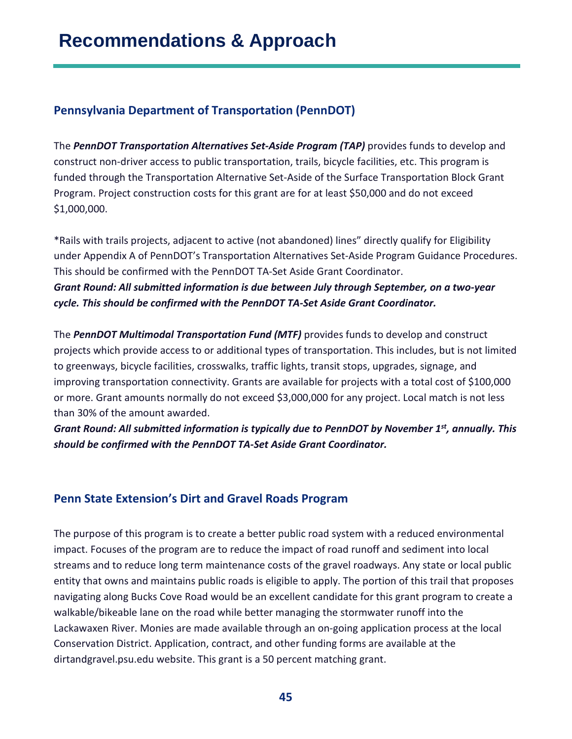#### **Pennsylvania Department of Transportation (PennDOT)**

The *PennDOT Transportation Alternatives Set-Aside Program (TAP)* provides funds to develop and construct non-driver access to public transportation, trails, bicycle facilities, etc. This program is funded through the Transportation Alternative Set-Aside of the Surface Transportation Block Grant Program. Project construction costs for this grant are for at least \$50,000 and do not exceed \$1,000,000.

\*Rails with trails projects, adjacent to active (not abandoned) lines" directly qualify for Eligibility under Appendix A of PennDOT's Transportation Alternatives Set-Aside Program Guidance Procedures. This should be confirmed with the PennDOT TA-Set Aside Grant Coordinator. *Grant Round: All submitted information is due between July through September, on a two-year cycle. This should be confirmed with the PennDOT TA-Set Aside Grant Coordinator.* 

The *PennDOT Multimodal Transportation Fund (MTF)* provides funds to develop and construct projects which provide access to or additional types of transportation. This includes, but is not limited to greenways, bicycle facilities, crosswalks, traffic lights, transit stops, upgrades, signage, and improving transportation connectivity. Grants are available for projects with a total cost of \$100,000 or more. Grant amounts normally do not exceed \$3,000,000 for any project. Local match is not less than 30% of the amount awarded.

*Grant Round: All submitted information is typically due to PennDOT by November 1st, annually. This should be confirmed with the PennDOT TA-Set Aside Grant Coordinator.* 

#### **Penn State Extension's Dirt and Gravel Roads Program**

The purpose of this program is to create a better public road system with a reduced environmental impact. Focuses of the program are to reduce the impact of road runoff and sediment into local streams and to reduce long term maintenance costs of the gravel roadways. Any state or local public entity that owns and maintains public roads is eligible to apply. The portion of this trail that proposes navigating along Bucks Cove Road would be an excellent candidate for this grant program to create a walkable/bikeable lane on the road while better managing the stormwater runoff into the Lackawaxen River. Monies are made available through an on-going application process at the local Conservation District. Application, contract, and other funding forms are available at the dirtandgravel.psu.edu website. This grant is a 50 percent matching grant.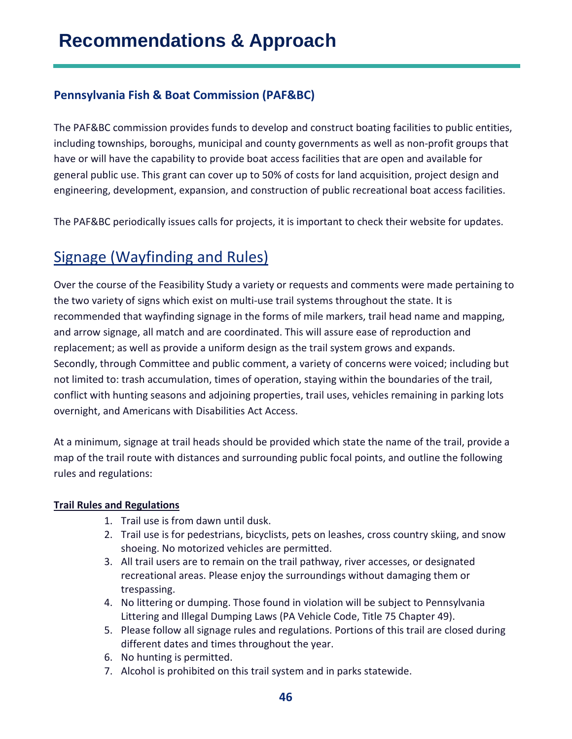#### **Pennsylvania Fish & Boat Commission (PAF&BC)**

The PAF&BC commission provides funds to develop and construct boating facilities to public entities, including townships, boroughs, municipal and county governments as well as non-profit groups that have or will have the capability to provide boat access facilities that are open and available for general public use. This grant can cover up to 50% of costs for land acquisition, project design and engineering, development, expansion, and construction of public recreational boat access facilities.

The PAF&BC periodically issues calls for projects, it is important to check their website for updates.

### <span id="page-45-0"></span>Signage (Wayfinding and Rules)

Over the course of the Feasibility Study a variety or requests and comments were made pertaining to the two variety of signs which exist on multi-use trail systems throughout the state. It is recommended that wayfinding signage in the forms of mile markers, trail head name and mapping, and arrow signage, all match and are coordinated. This will assure ease of reproduction and replacement; as well as provide a uniform design as the trail system grows and expands. Secondly, through Committee and public comment, a variety of concerns were voiced; including but not limited to: trash accumulation, times of operation, staying within the boundaries of the trail, conflict with hunting seasons and adjoining properties, trail uses, vehicles remaining in parking lots overnight, and Americans with Disabilities Act Access.

At a minimum, signage at trail heads should be provided which state the name of the trail, provide a map of the trail route with distances and surrounding public focal points, and outline the following rules and regulations:

#### **Trail Rules and Regulations**

- 1. Trail use is from dawn until dusk.
- 2. Trail use is for pedestrians, bicyclists, pets on leashes, cross country skiing, and snow shoeing. No motorized vehicles are permitted.
- 3. All trail users are to remain on the trail pathway, river accesses, or designated recreational areas. Please enjoy the surroundings without damaging them or trespassing.
- 4. No littering or dumping. Those found in violation will be subject to Pennsylvania Littering and Illegal Dumping Laws (PA Vehicle Code, Title 75 Chapter 49).
- 5. Please follow all signage rules and regulations. Portions of this trail are closed during different dates and times throughout the year.
- 6. No hunting is permitted.
- 7. Alcohol is prohibited on this trail system and in parks statewide.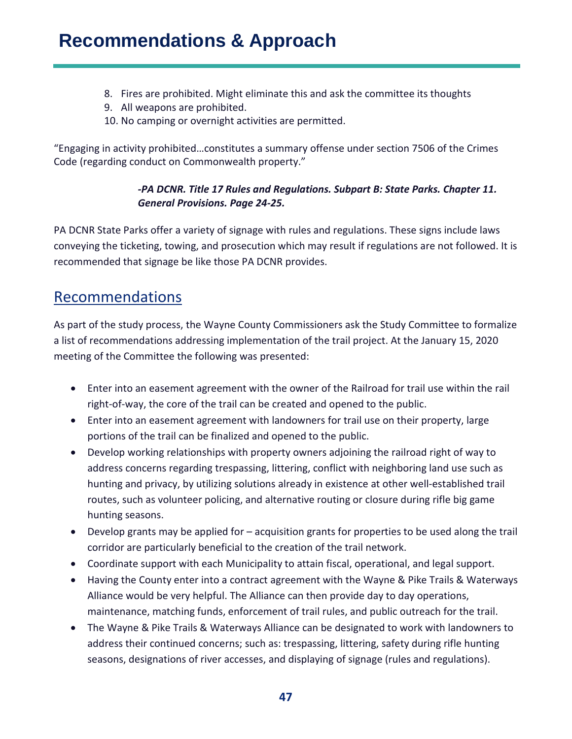- 8. Fires are prohibited. Might eliminate this and ask the committee its thoughts
- 9. All weapons are prohibited.
- 10. No camping or overnight activities are permitted.

"Engaging in activity prohibited…constitutes a summary offense under section 7506 of the Crimes Code (regarding conduct on Commonwealth property."

#### *-PA DCNR. Title 17 Rules and Regulations. Subpart B: State Parks. Chapter 11. General Provisions. Page 24-25.*

PA DCNR State Parks offer a variety of signage with rules and regulations. These signs include laws conveying the ticketing, towing, and prosecution which may result if regulations are not followed. It is recommended that signage be like those PA DCNR provides.

### <span id="page-46-0"></span>Recommendations

As part of the study process, the Wayne County Commissioners ask the Study Committee to formalize a list of recommendations addressing implementation of the trail project. At the January 15, 2020 meeting of the Committee the following was presented:

- Enter into an easement agreement with the owner of the Railroad for trail use within the rail right-of-way, the core of the trail can be created and opened to the public.
- Enter into an easement agreement with landowners for trail use on their property, large portions of the trail can be finalized and opened to the public.
- Develop working relationships with property owners adjoining the railroad right of way to address concerns regarding trespassing, littering, conflict with neighboring land use such as hunting and privacy, by utilizing solutions already in existence at other well-established trail routes, such as volunteer policing, and alternative routing or closure during rifle big game hunting seasons.
- Develop grants may be applied for acquisition grants for properties to be used along the trail corridor are particularly beneficial to the creation of the trail network.
- Coordinate support with each Municipality to attain fiscal, operational, and legal support.
- Having the County enter into a contract agreement with the Wayne & Pike Trails & Waterways Alliance would be very helpful. The Alliance can then provide day to day operations, maintenance, matching funds, enforcement of trail rules, and public outreach for the trail.
- The Wayne & Pike Trails & Waterways Alliance can be designated to work with landowners to address their continued concerns; such as: trespassing, littering, safety during rifle hunting seasons, designations of river accesses, and displaying of signage (rules and regulations).